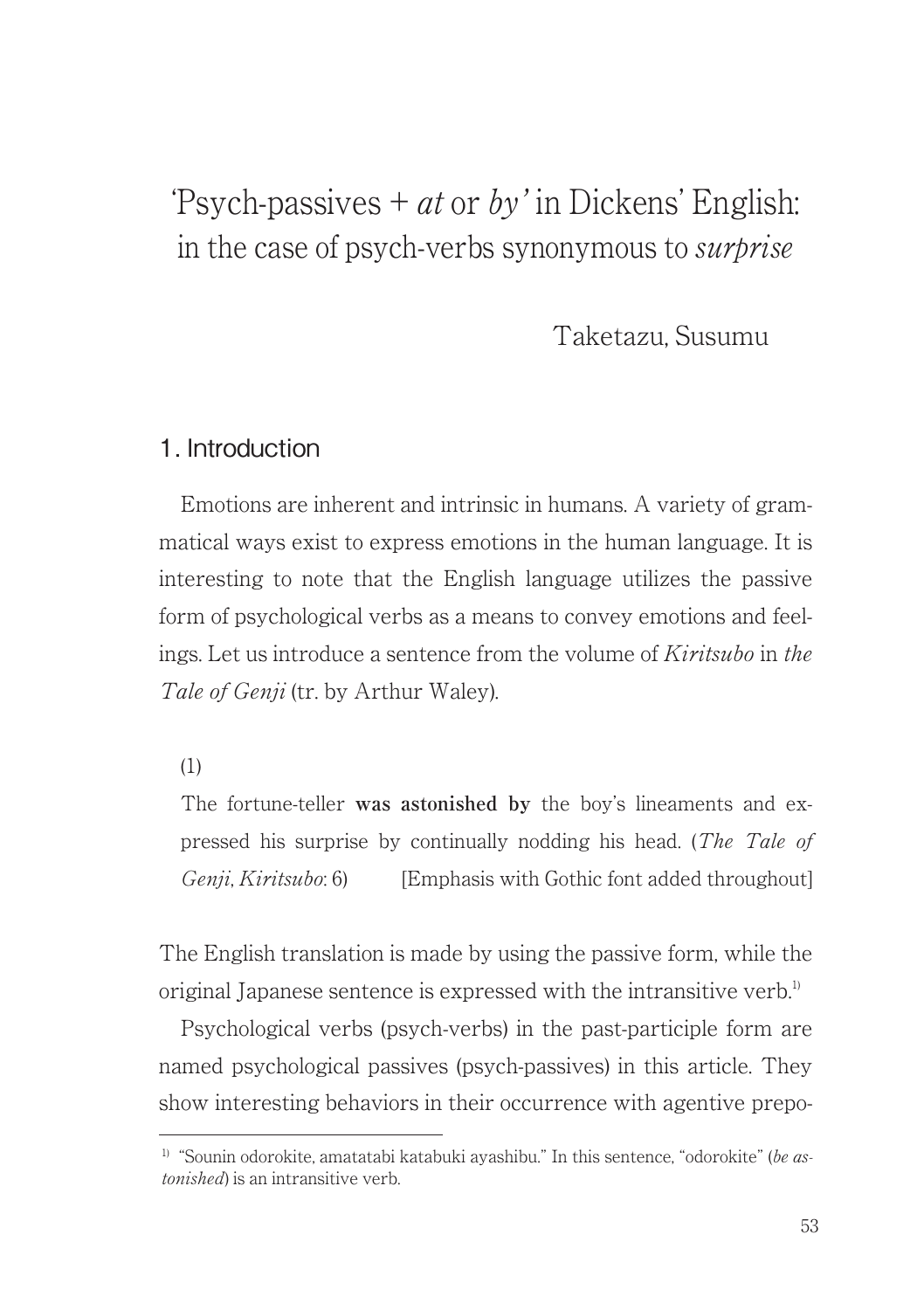# 'Psych-passives  $+$  *at* or *by*' in Dickens' English: in the case of psych-verbs synonymous to surprise

Taketazu, Susumu

### 1. Introduction

Emotions are inherent and intrinsic in humans. A variety of grammatical ways exist to express emotions in the human language. It is interesting to note that the English language utilizes the passive form of psychological verbs as a means to convey emotions and feelings. Let us introduce a sentence from the volume of Kiritsubo in the Tale of Genii (tr. by Arthur Waley).

(1)

The fortune-teller **was astonished by** the boy's lineaments and expressed his surprise by continually nodding his head. (The Tale of Genii, Kiritsubo: 6) [Emphasis with Gothic font added throughout]

The English translation is made by using the passive form, while the original Japanese sentence is expressed with the intransitive verb.<sup>1)</sup>

Psychological verbs (psych-verbs) in the past-participle form are named psychological passives (psych-passives) in this article. They show interesting behaviors in their occurrence with agentive prepo-

<sup>&</sup>lt;sup>1)</sup> "Sounin odorokite, amatatabi katabuki ayashibu." In this sentence, "odorokite" (be astonished) is an intransitive verb.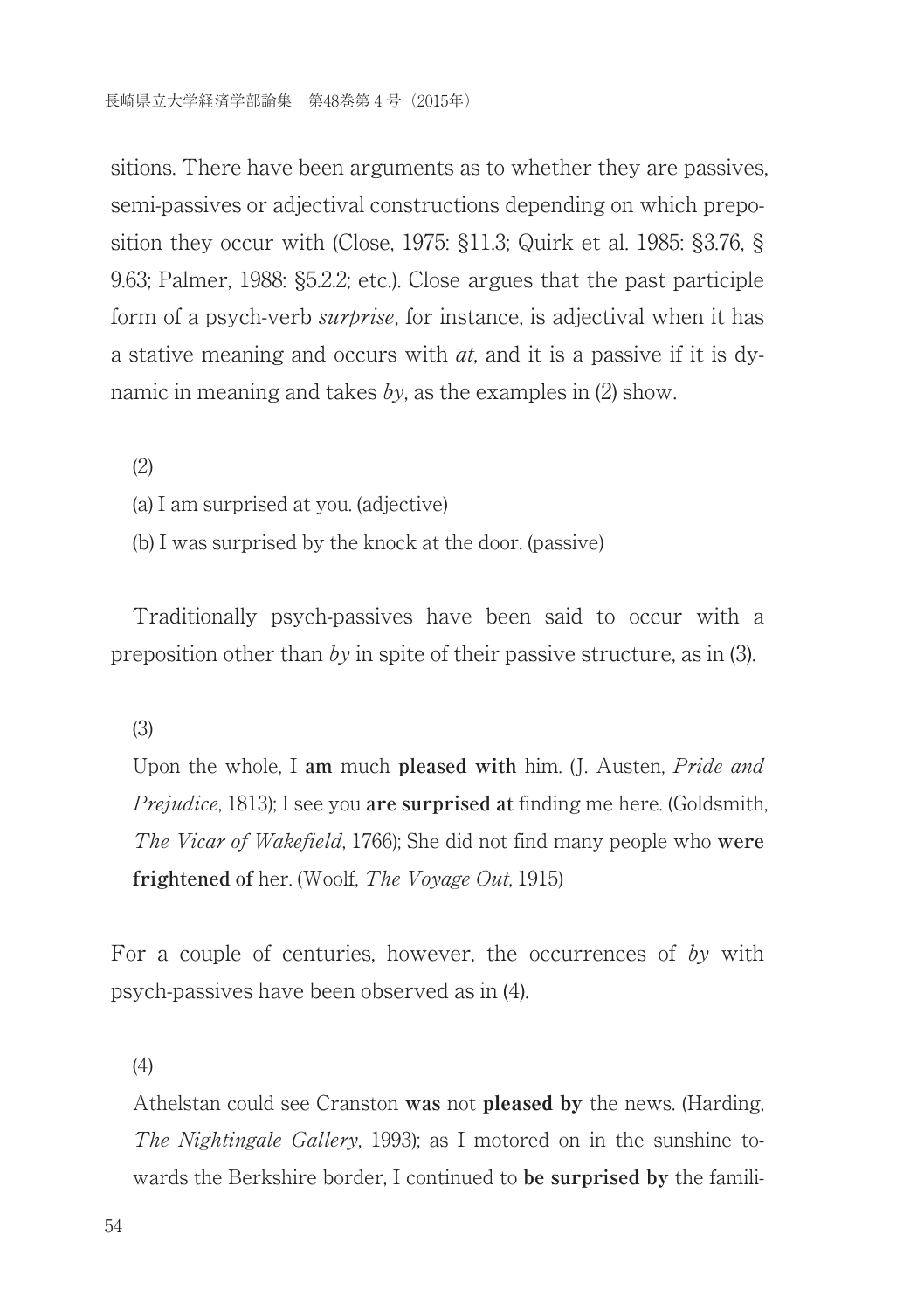sitions. There have been arguments as to whether they are passives, semi-passives or adjectival constructions depending on which preposition they occur with (Close, 1975: §11.3; Quirk et al. 1985: §3.76, § 9.63; Palmer, 1988: §5.2.2; etc.). Close argues that the past participle form of a psych-verb *surprise*, for instance, is adjectival when it has a stative meaning and occurs with  $at$ , and it is a passive if it is dynamic in meaning and takes by, as the examples in  $(2)$  show.

(2)

(a) I am surprised at you. (adjective)

(b) I was surprised by the knock at the door. (passive)

Traditionally psych-passives have been said to occur with a preposition other than by in spite of their passive structure, as in (3).

(3)

Upon the whole, I **am** much **pleased with** him. (J. Austen, Pride and Prejudice, 1813); I see you **are surprised at** finding me here. (Goldsmith, The Vicar of Wakefield, 1766); She did not find many people who **were frightened of** her. (Woolf, The Voyage Out, 1915)

For a couple of centuries, however, the occurrences of by with psych-passives have been observed as in (4).

(4)

Athelstan could see Cranston **was** not pleased by the news. (Harding, The Nightingale Gallery, 1993); as I motored on in the sunshine towards the Berkshire border, I continued to **be surprised by** the famili-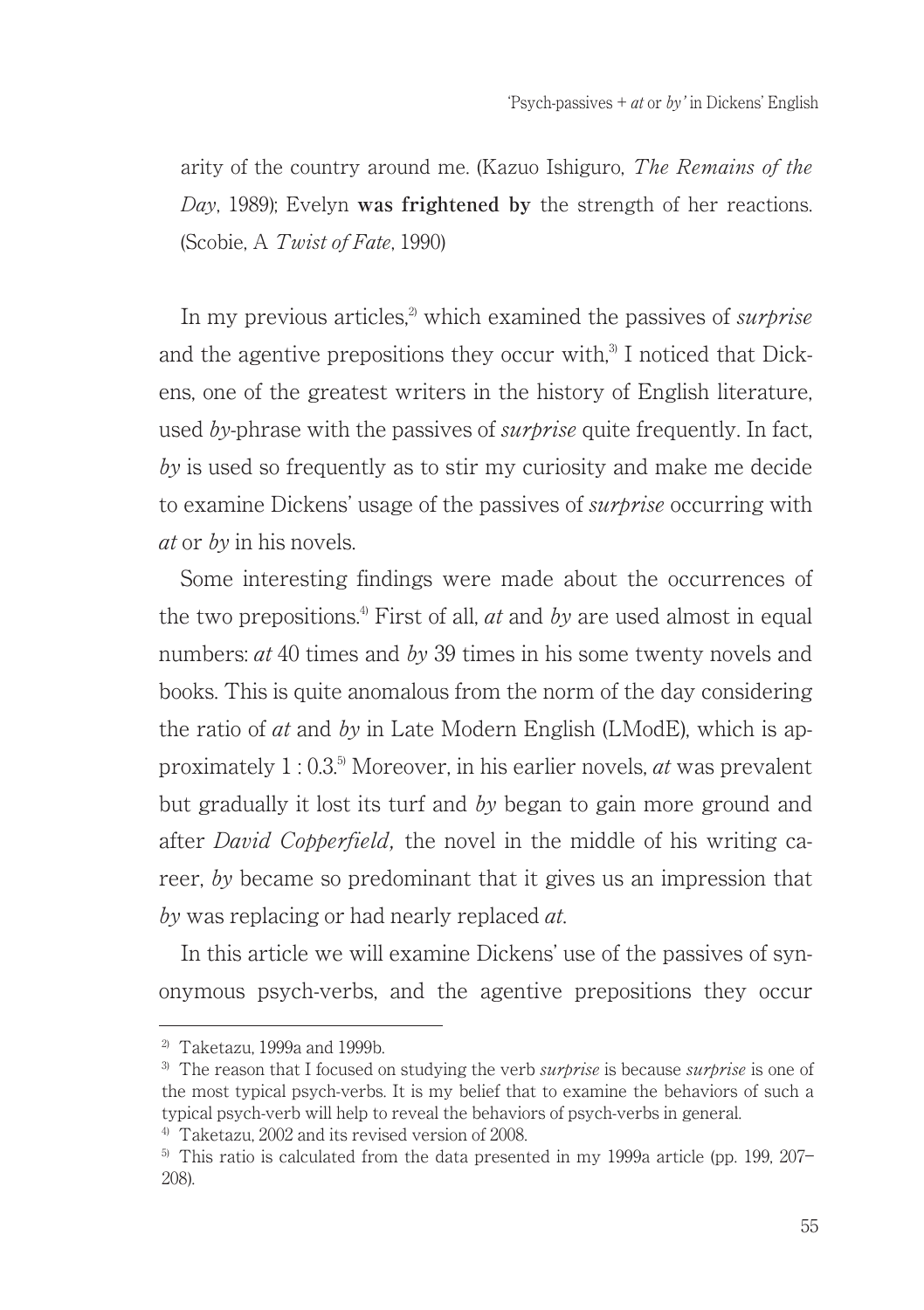arity of the country around me. (Kazuo Ishiguro, The Remains of the Day, 1989); Evelyn **was frightened by** the strength of her reactions. (Scobie, A Twist of Fate, 1990)

In my previous articles.<sup>2</sup> which examined the passives of *surprise* and the agentive prepositions they occur with. $3$  I noticed that Dickens, one of the greatest writers in the history of English literature, used by-phrase with the passives of *surbrise* quite frequently. In fact, by is used so frequently as to stir my curiosity and make me decide to examine Dickens' usage of the passives of *surbrise* occurring with at or by in his novels.

Some interesting findings were made about the occurrences of the two prepositions.<sup>4)</sup> First of all, *at* and by are used almost in equal numbers:  $at 40$  times and  $by 39$  times in his some twenty novels and books. This is quite anomalous from the norm of the day considering the ratio of  $at$  and  $bv$  in Late Modern English (LModE), which is approximately  $1:0.3^{5}$  Moreover, in his earlier novels, *at* was prevalent. but gradually it lost its turf and by began to gain more ground and after *David Cobberfield*, the novel in the middle of his writing career, by became so predominant that it gives us an impression that by was replacing or had nearly replaced *at*.

In this article we will examine Dickens' use of the passives of synonymous psych-verbs, and the agentive prepositions they occur

<sup>2)</sup> Taketazu, 1999a and 1999b.

 $3)$  The reason that I focused on studying the verb *surprise* is because *surprise* is one of the most typical psych-verbs. It is my belief that to examine the behaviors of such a typical psych-verb will help to reveal the behaviors of psych-verbs in general.

<sup>4)</sup> Taketazu, 2002 and its revised version of 2008.

 $5)$  This ratio is calculated from the data presented in my 1999a article (pp. 199, 207– 208).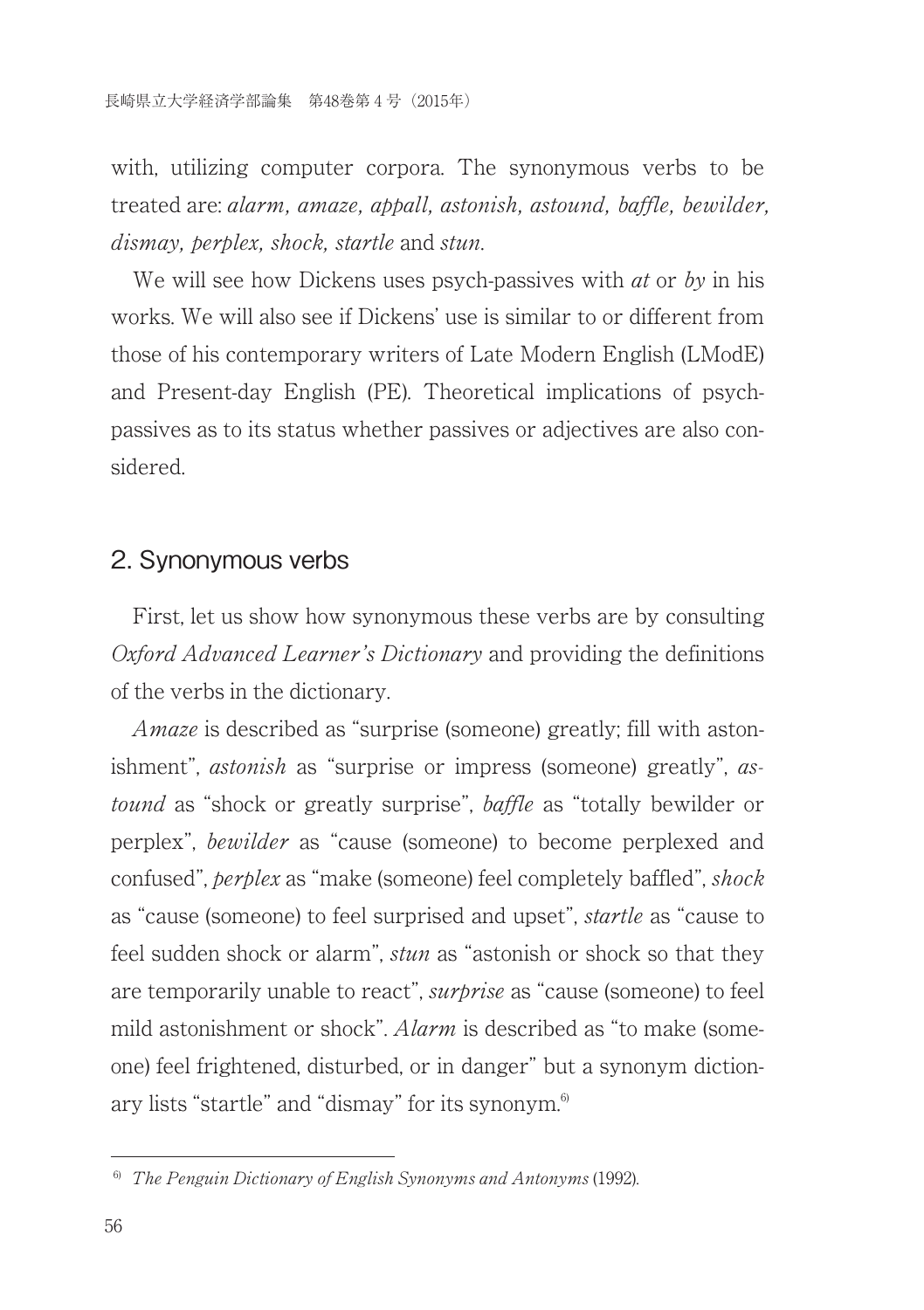with, utilizing computer corpora. The synonymous verbs to be treated are: alarm, amaze, appall, astonish, astound, baffle, bewilder, dismay, perplex, shock, startle and stun.

We will see how Dickens uses psych-passives with  $at$  or  $by$  in his works. We will also see if Dickens' use is similar to or different from those of his contemporary writers of Late Modern English (LModE) and Present-day English (PE). Theoretical implications of psychpassives as to its status whether passives or adjectives are also considered.

#### 2. Synonymous verbs

First, let us show how synonymous these verbs are by consulting Oxford Advanced Learner's Dictionary and providing the definitions of the verbs in the dictionary.

Amaze is described as "surprise (someone) greatly; fill with astonishment", *astonish* as "surprise or impress (someone) greatly", *as*tound as "shock or greatly surprise", baffle as "totally bewilder or perplex", bewilder as "cause (someone) to become perplexed and confused", perplex as "make (someone) feel completely baffled", shock as "cause (someone) to feel surprised and upset", startle as "cause to feel sudden shock or alarm", *stun* as "astonish or shock so that they are temporarily unable to react", *surbrise* as "cause (someone) to feel mild astonishment or shock". *Alarm* is described as "to make (someone) feel frightened, disturbed, or in danger" but a synonym dictionary lists "startle" and "dismay" for its synonym.<sup>6)</sup>

 $6$  The Penguin Dictionary of English Synonyms and Antonyms (1992).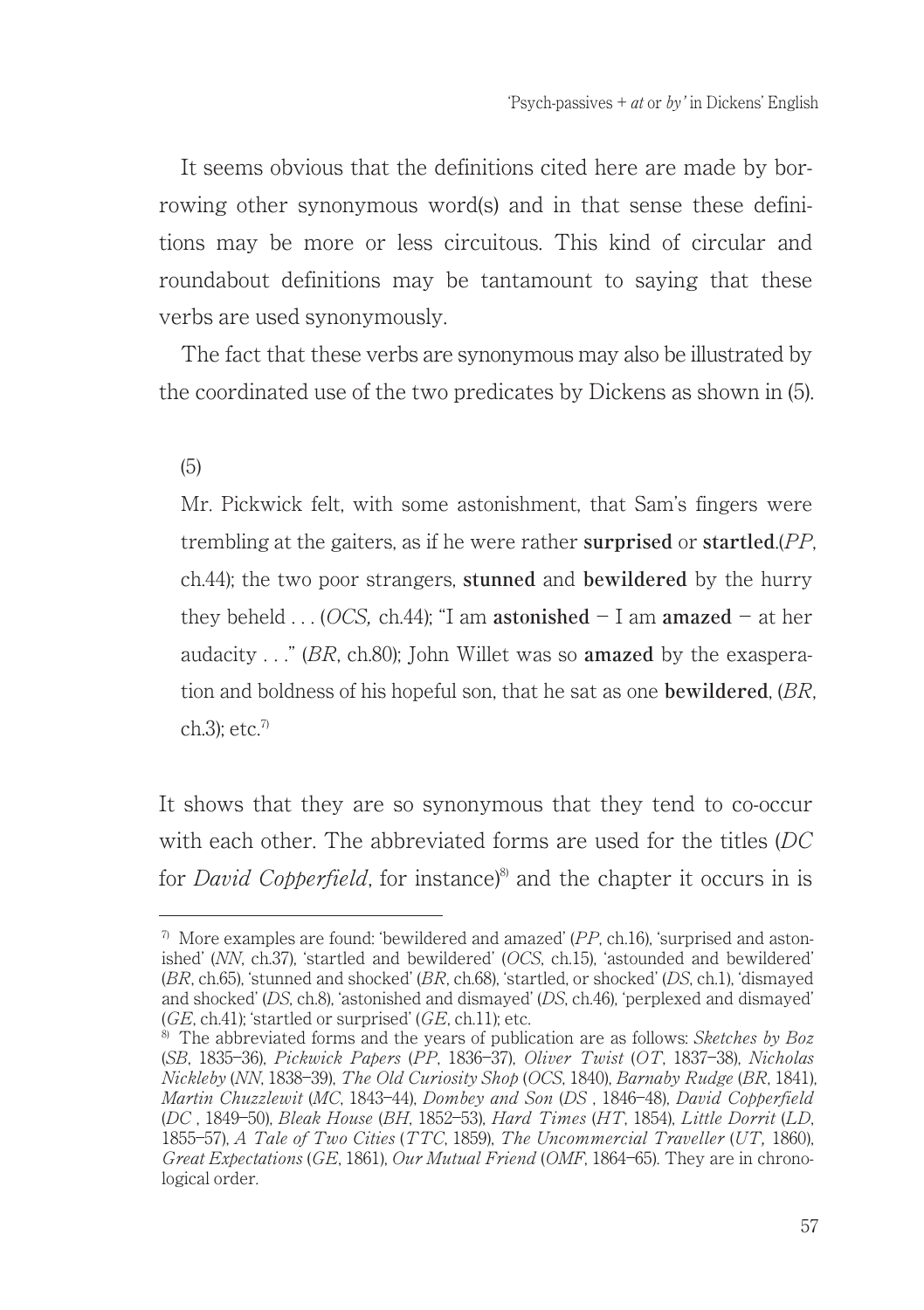It seems obvious that the definitions cited here are made by borrowing other synonymous word(s) and in that sense these definitions may be more or less circuitous. This kind of circular and roundabout definitions may be tantamount to saying that these verbs are used synonymously.

The fact that these verbs are synonymous may also be illustrated by the coordinated use of the two predicates by Dickens as shown in (5).

(5)

Mr. Pickwick felt, with some astonishment, that Sam's fingers were trembling at the gaiters, as if he were rather **surprised** or **startled**.(PP, ch.44); the two poor strangers, **stunned** and **bewildered** by the hurry they beheld  $\ldots$  (*OCS*, ch.44); "I am **astonished** - I am **amazed** - at her audacity . . ." (BR, ch.80); John Willet was so **amazed** by the exasperation and boldness of his hopeful son, that he sat as one **bewildered**, (BR, ch.3); etc. $7$ 

It shows that they are so synonymous that they tend to co-occur with each other. The abbreviated forms are used for the titles (DC for *David Copperfield*, for instance $\delta$ <sup>8</sup> and the chapter it occurs in is

 $7\,$  More examples are found: 'bewildered and amazed' (PP, ch.16), 'surprised and astonished' (NN, ch.37), ʻstartled and bewildered' (OCS, ch.15), ʻastounded and bewildered' (BR, ch.65), ʻstunned and shocked' (BR, ch.68), ʻstartled, or shocked' (DS, ch.1), ʻdismayed and shocked' (DS, ch.8), ʻastonished and dismayed' (DS, ch.46), ʻperplexed and dismayed'  $(GE, ch.41)$ ; 'startled or surprised'  $(GE, ch.11)$ ; etc.

 $8$ ) The abbreviated forms and the years of publication are as follows: Sketches by Boz (SB, 1835―36), Pickwick Papers (PP, 1836―37), Oliver Twist (OT, 1837―38), Nicholas Nickleby (NN, 1838―39), The Old Curiosity Shop (OCS, 1840), Barnaby Rudge (BR, 1841), Martin Chuzzlewit (MC, 1843―44), Dombey and Son (DS , 1846―48), David Copperfield (DC , 1849―50), Bleak House (BH, 1852―53), Hard Times (HT, 1854), Little Dorrit (LD, 1855―57), A Tale of Two Cities (TTC, 1859), The Uncommercial Traveller (UT, 1860), Great Expectations (GE, 1861), Our Mutual Friend (OMF, 1864–65). They are in chronological order.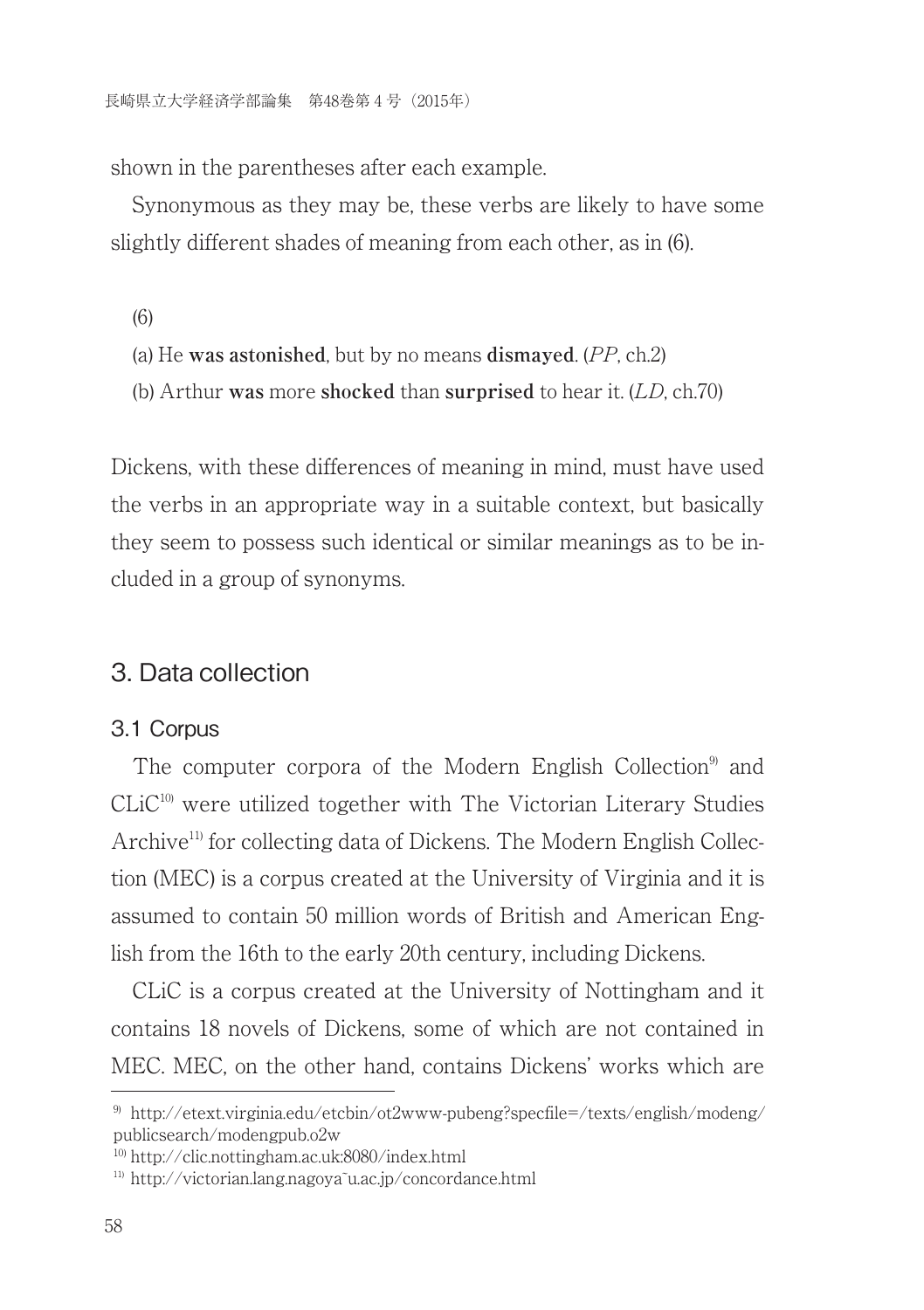shown in the parentheses after each example.

Synonymous as they may be, these verbs are likely to have some slightly different shades of meaning from each other, as in (6).

(6)

- (a) He **was astonished**, but by no means **dismayed**. (PP, ch.2)
- (b) Arthur **was** more **shocked** than **surprised** to hear it. (LD, ch.70)

Dickens, with these differences of meaning in mind, must have used the verbs in an appropriate way in a suitable context, but basically they seem to possess such identical or similar meanings as to be included in a group of synonyms.

### 3. Data collection

#### 3.1 Corpus

The computer corpora of the Modern English Collection<sup>9</sup> and  $CLiC<sup>10</sup>$  were utilized together with The Victorian Literary Studies Archive<sup>11)</sup> for collecting data of Dickens. The Modern English Collection (MEC) is a corpus created at the University of Virginia and it is assumed to contain 50 million words of British and American English from the 16th to the early 20th century, including Dickens.

CLiC is a corpus created at the University of Nottingham and it contains 18 novels of Dickens, some of which are not contained in MEC. MEC, on the other hand, contains Dickens' works which are

<sup>&</sup>lt;sup>9)</sup> http://etext.virginia.edu/etcbin/ot2www-pubeng?specfile=/texts/english/modeng/ publicsearch/modengpub.o2w

<sup>10)</sup> http://clic.nottingham.ac.uk:8080/index.html

<sup>&</sup>lt;sup>11)</sup> http://victorian.lang.nagoya<sup>T</sup>u.ac.jp/concordance.html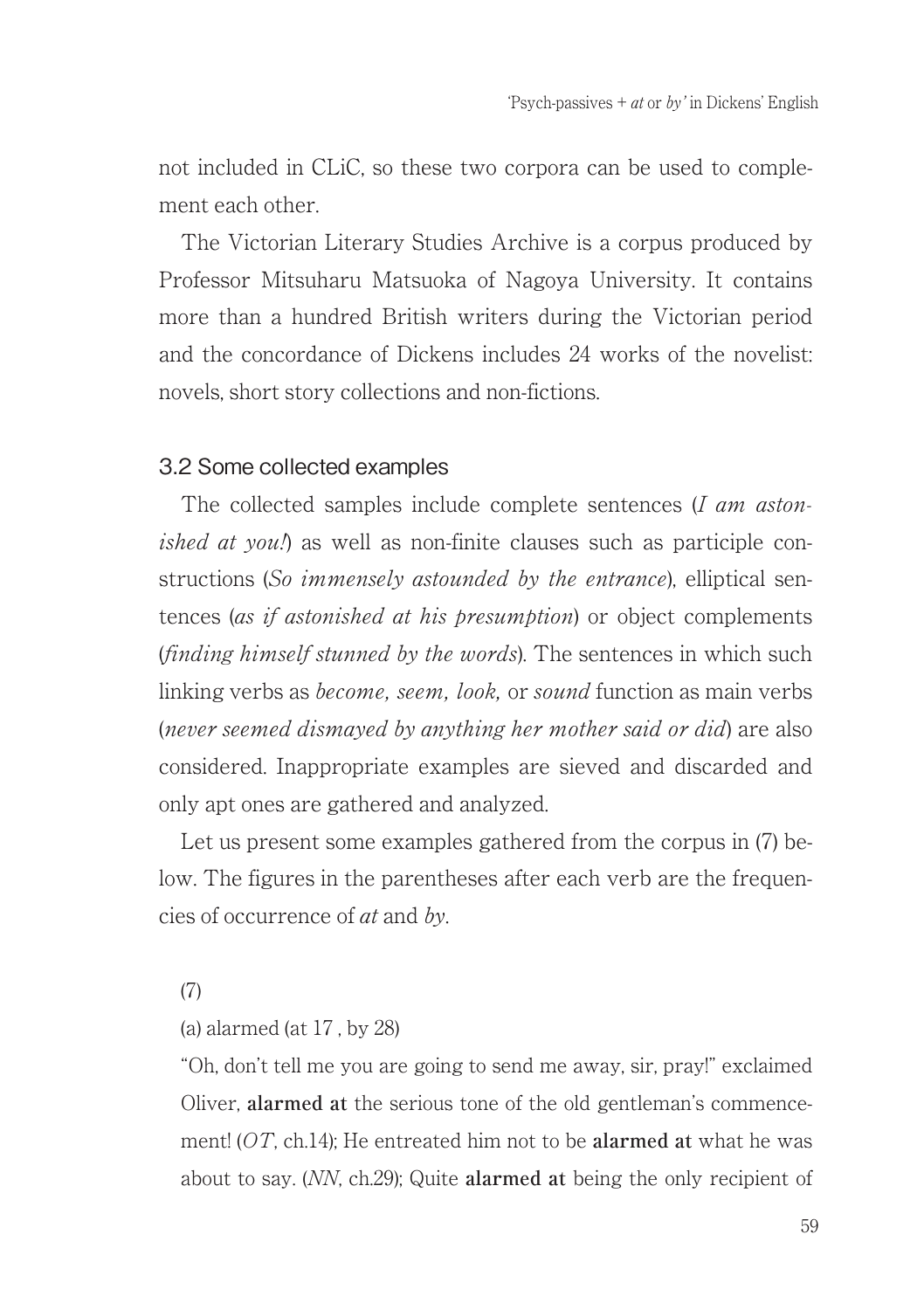not included in CLiC, so these two corpora can be used to complement each other.

The Victorian Literary Studies Archive is a corpus produced by Professor Mitsuharu Matsuoka of Nagoya University. It contains more than a hundred British writers during the Victorian period and the concordance of Dickens includes 24 works of the novelist: novels, short story collections and non-fictions.

### 3.2 Some collected examples

The collected samples include complete sentences (I am astonished at you.) as well as non-finite clauses such as participle constructions (So *immensely astounded by the entrance*), elliptical sentences (as if astonished at his presumption) or object complements (finding himself stunned by the words). The sentences in which such linking verbs as *become, seem, look, or sound* function as main verbs (never seemed dismayed by anything her mother said or did) are also considered. Inappropriate examples are sieved and discarded and only apt ones are gathered and analyzed.

Let us present some examples gathered from the corpus in (7) below. The figures in the parentheses after each verb are the frequencies of occurrence of at and by.

(7)

(a) alarmed (at 17 , by 28)

"Oh, don't tell me you are going to send me away, sir, pray!" exclaimed Oliver, **alarmed at** the serious tone of the old gentleman's commencement! (OT, ch.14); He entreated him not to be **alarmed at** what he was about to say. (NN, ch.29); Quite **alarmed at** being the only recipient of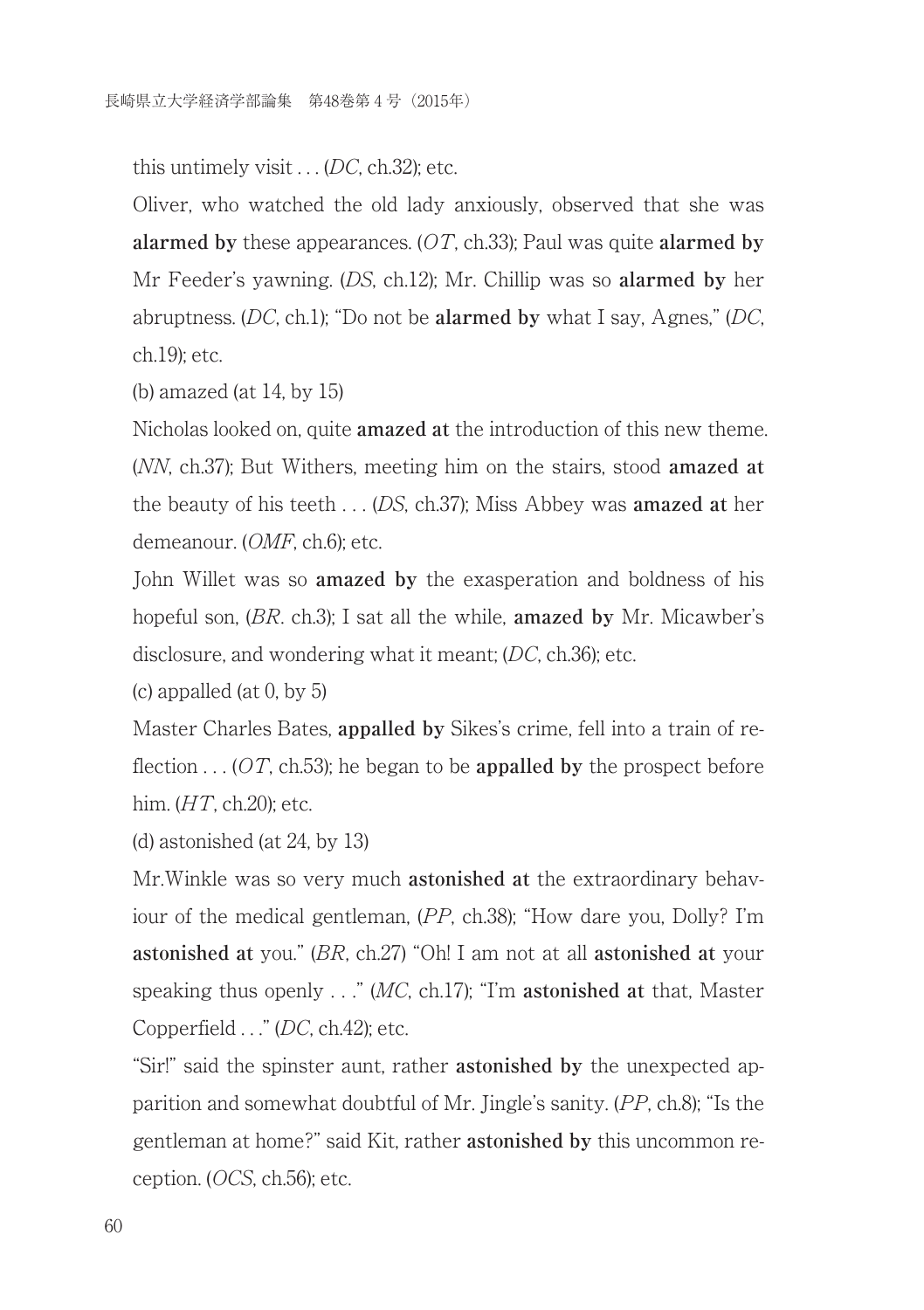this untimely visit  $\ldots$  (DC, ch.32); etc.

Oliver, who watched the old lady anxiously, observed that she was **alarmed by** these appearances. (OT, ch.33); Paul was quite **alarmed by** Mr Feeder's yawning. (DS, ch.12); Mr. Chillip was so **alarmed by** her abruptness. (DC, ch.1); "Do not be **alarmed by** what I say, Agnes," (DC, ch.19); etc.

(b) amazed (at 14, by 15)

Nicholas looked on, quite **amazed at** the introduction of this new theme. (NN, ch.37); But Withers, meeting him on the stairs, stood **amazed at** the beauty of his teeth . . . (DS, ch.37); Miss Abbey was **amazed at** her demeanour. (OMF, ch.6); etc.

John Willet was so **amazed by** the exasperation and boldness of his hopeful son, (BR. ch.3); I sat all the while, **amazed by** Mr. Micawber's disclosure, and wondering what it meant; (DC, ch.36); etc.

(c) appalled (at 0, by 5)

Master Charles Bates, **appalled by** Sikes's crime, fell into a train of reflection . . . (OT, ch.53); he began to be **appalled by** the prospect before him.  $(HT, ch.20)$ ; etc.

(d) astonished (at 24, by 13)

Mr.Winkle was so very much **astonished at** the extraordinary behaviour of the medical gentleman, (PP, ch.38); "How dare you, Dolly? I'm **astonished at** you." (BR, ch.27) "Oh! I am not at all **astonished at** your speaking thus openly . . ." (MC, ch.17); "I'm **astonished at** that, Master Copperfield . . ." (DC, ch.42); etc.

"Sir!" said the spinster aunt, rather **astonished by** the unexpected apparition and somewhat doubtful of Mr. Jingle's sanity. (PP, ch.8); "Is the gentleman at home?" said Kit, rather **astonished by** this uncommon reception. (OCS, ch.56); etc.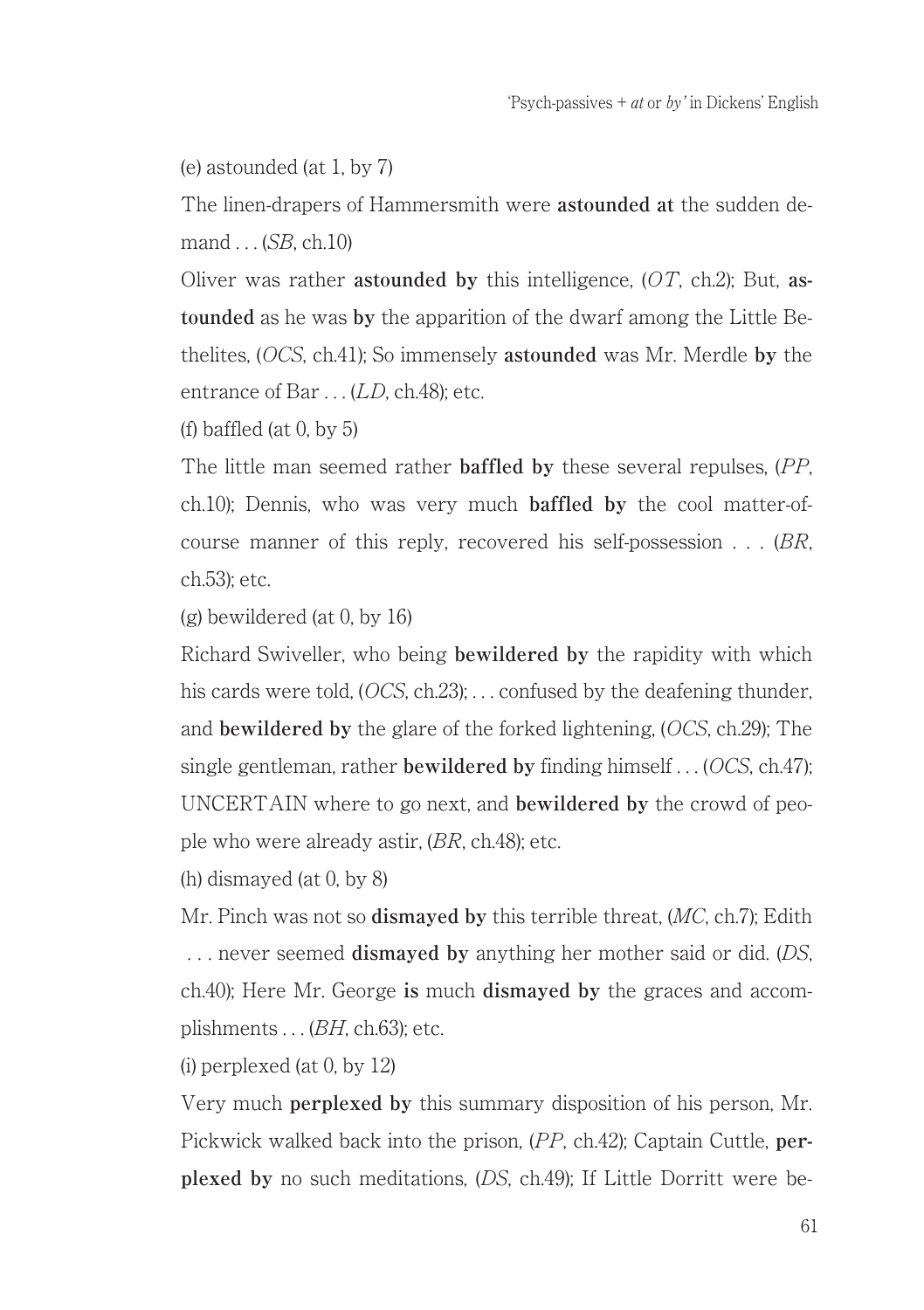(e) astounded (at 1, by 7)

The linen-drapers of Hammersmith were **astounded at** the sudden demand . . . (SB, ch.10)

Oliver was rather **astounded by** this intelligence, (OT, ch.2); But, **astounded** as he was **by** the apparition of the dwarf among the Little Bethelites, (OCS, ch.41); So immensely **astounded** was Mr. Merdle **by** the entrance of Bar . . . (LD, ch.48); etc.

(f) baffled (at  $0,$  by  $5$ )

The little man seemed rather **baffled by** these several repulses, (PP, ch.10); Dennis, who was very much **baffled by** the cool matter-ofcourse manner of this reply, recovered his self-possession  $\ldots$  (BR, ch.53); etc.

(g) bewildered (at 0, by 16)

Richard Swiveller, who being **bewildered by** the rapidity with which his cards were told, (*OCS*, ch.23); . . . confused by the deafening thunder, and **bewildered by** the glare of the forked lightening, (OCS, ch.29); The single gentleman, rather **bewildered by** finding himself . . . (OCS, ch.47); UNCERTAIN where to go next, and **bewildered by** the crowd of people who were already astir, (BR, ch.48); etc.

(h) dismayed (at 0, by 8)

Mr. Pinch was not so **dismayed by** this terrible threat, (MC, ch.7); Edith . . . never seemed **dismayed by** anything her mother said or did. (DS, ch.40); Here Mr. George **is** much **dismayed by** the graces and accomplishments  $\ldots$  (*BH*, ch.63); etc.

(i) perplexed (at 0, by 12)

Very much **perplexed by** this summary disposition of his person, Mr. Pickwick walked back into the prison, (PP, ch.42); Captain Cuttle, **perplexed by** no such meditations, (DS, ch.49); If Little Dorritt were be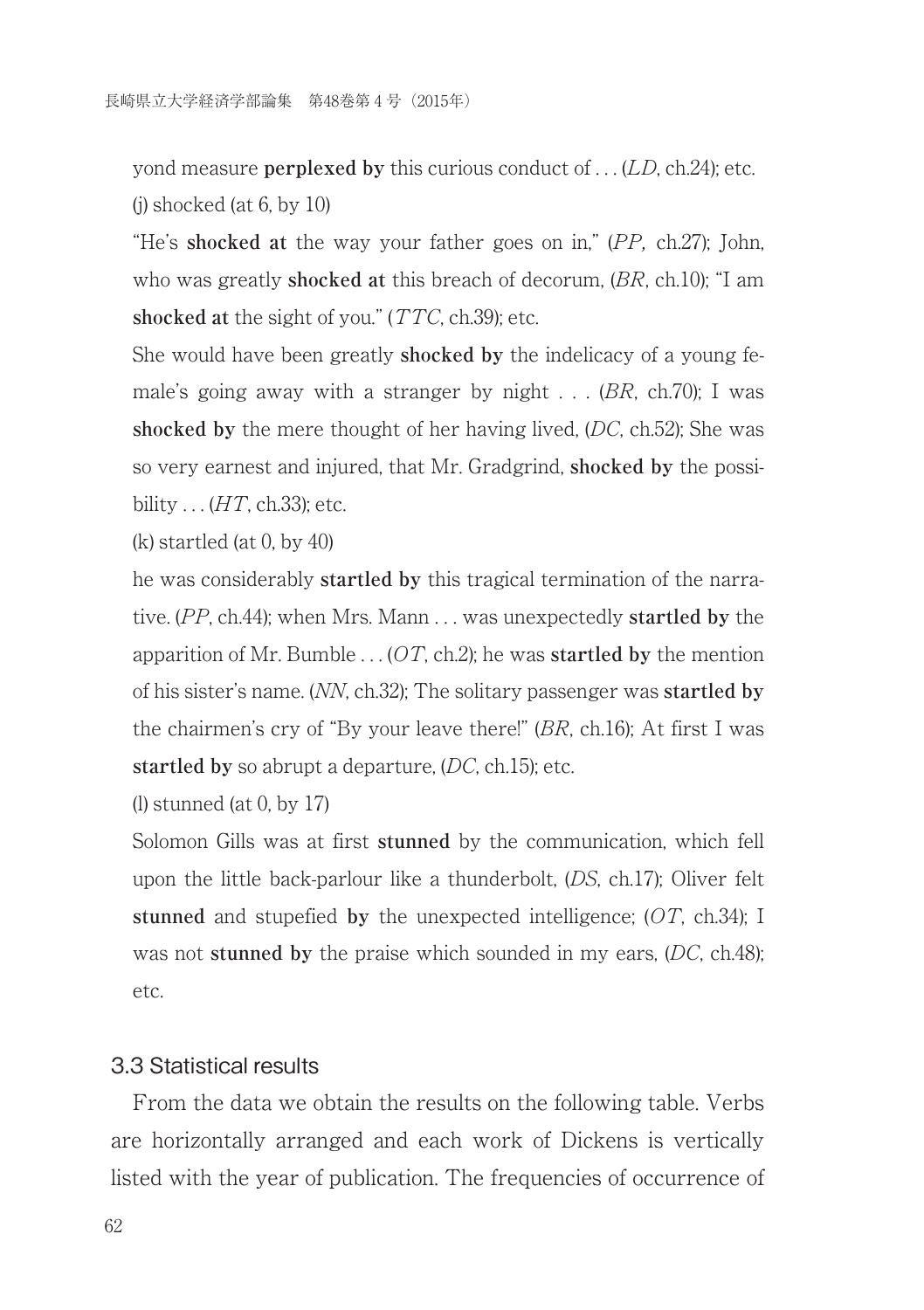yond measure **perplexed by** this curious conduct of . . . (LD, ch.24); etc.  $(i)$  shocked (at 6, by 10)

"He's **shocked at** the way your father goes on in," (PP, ch.27); John, who was greatly **shocked at** this breach of decorum, (BR, ch.10); "I am **shocked at** the sight of you." (TTC, ch.39); etc.

She would have been greatly **shocked by** the indelicacy of a young female's going away with a stranger by night  $\ldots$  (BR, ch.70); I was **shocked by** the mere thought of her having lived, (DC, ch.52); She was so very earnest and injured, that Mr. Gradgrind, **shocked by** the possibility  $\ldots$  (*HT*, ch.33); etc.

(k) startled (at 0, by 40)

he was considerably **startled by** this tragical termination of the narrative. (PP, ch.44); when Mrs. Mann . . . was unexpectedly **startled by** the apparition of Mr. Bumble  $\ldots$  (*OT*, ch.2); he was **startled by** the mention of his sister's name. (NN, ch.32); The solitary passenger was **startled by** the chairmen's cry of "By your leave there!" (BR, ch.16); At first I was **startled by** so abrupt a departure, (DC, ch.15); etc.

(l) stunned (at 0, by 17)

Solomon Gills was at first **stunned** by the communication, which fell upon the little back-parlour like a thunderbolt, (DS, ch.17); Oliver felt **stunned** and stupefied **by** the unexpected intelligence; (OT, ch.34); I was not **stunned by** the praise which sounded in my ears, (DC, ch.48); etc.

#### 3.3 Statistical results

From the data we obtain the results on the following table. Verbs are horizontally arranged and each work of Dickens is vertically listed with the year of publication. The frequencies of occurrence of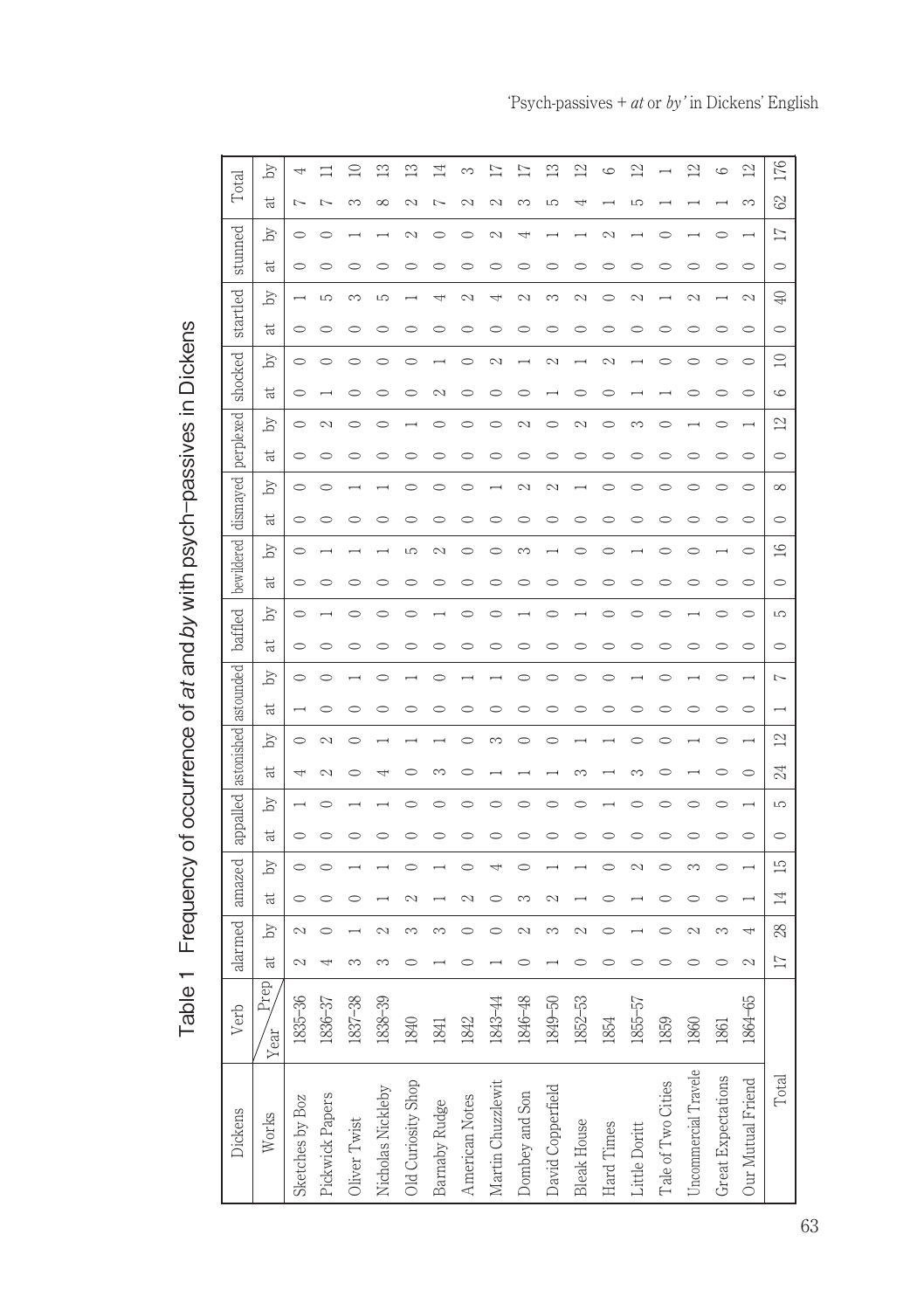| ï                                    |
|--------------------------------------|
|                                      |
| <b>CONTENTS OF STRAIGHT</b>          |
| Ì<br> <br> <br> 2<br> <br> <br> <br> |
| )<br>?<br>;                          |
| ;<br>.                               |
|                                      |
| l                                    |

| Total                         | by                      |                 |                 | $\supseteq$  | $\mathbb{C}$      | $\mathbb{S}$       | 4             | $\infty$       | 17                | $\overline{17}$ | $\mathbb{C}$      | 2                  | Ğ          | $^{2}$        |                          | $^{2}$               | $\overline{c}$            | $\overline{2}$    | 176             |
|-------------------------------|-------------------------|-----------------|-----------------|--------------|-------------------|--------------------|---------------|----------------|-------------------|-----------------|-------------------|--------------------|------------|---------------|--------------------------|----------------------|---------------------------|-------------------|-----------------|
|                               | ti                      | b               | Þ               | $\sim$       | $\infty$          | $\sim$             | Þ             | $\sim$         | $\sim$            | 3               | LC.               | 4                  |            | LO            |                          |                      |                           | 3                 | $\mathcal{S}$   |
| stunned                       | ð                       |                 | ⌒               |              |                   | $\sim$             |               |                | $\sim$            | ÷               |                   |                    | $\sim$     |               | ⊂                        |                      |                           |                   | $\Box$          |
|                               | Ħ                       |                 |                 | ⌒            | ⌒                 |                    |               | ⌒              | C                 | ⌒               | ⌒                 |                    |            | C             | ⊂                        | ⊂                    |                           | 0                 | $\circ$         |
|                               | Ъy                      |                 | LC.             | $\infty$     | Ю                 |                    |               | $\sim$         | 4                 | $\sim$          | Ô                 |                    |            | $\sim$        |                          | $\sim$               |                           | $\sim$            | $\bigoplus$     |
| startled                      | t                       | ⌒               |                 |              |                   |                    |               |                |                   |                 |                   |                    |            |               |                          |                      |                           |                   | 0               |
| shocked                       | by                      |                 |                 |              |                   |                    |               |                | $\sim$            |                 | N                 |                    | Ń          |               |                          |                      |                           | ⌒                 | $\supseteq$     |
|                               | Ħ                       | C               |                 |              |                   |                    |               |                | 0                 | 0               |                   |                    |            |               |                          | ⊂                    |                           | 0                 | G               |
|                               | $\mathbb{Z}$            | $\subset$       | 2               | 0            |                   |                    |               |                | 0                 | 2               |                   |                    |            | 3             | C                        |                      |                           |                   | $\overline{2}$  |
| bewildered dismayed perplexed | $\ddot{a}$              | C               |                 | ⊂            |                   |                    |               |                | 0                 |                 |                   |                    |            |               | ⊂                        |                      |                           |                   | $\circ$         |
|                               | by                      |                 |                 |              |                   |                    |               |                |                   | Ñ               |                   |                    |            |               |                          |                      |                           |                   | $\infty$        |
|                               | t                       |                 |                 | ⌒            |                   |                    |               | C              | $\subset$         | 0               | 0                 |                    |            | C             | ⊂                        | $\subset$            |                           | 0                 | $\circ$         |
|                               | by                      |                 |                 |              |                   | 5                  | $\sim$        |                |                   | 3               |                   |                    |            |               |                          |                      |                           | ⌒                 | $\frac{1}{2}$   |
|                               | $\ddot{a}$              |                 |                 |              |                   |                    |               |                |                   | ⌒               |                   |                    |            |               |                          |                      |                           |                   | $\circ$         |
| baffled                       | by                      |                 |                 |              |                   |                    |               |                | ⌒                 |                 |                   |                    |            |               |                          |                      |                           | 0                 | LO              |
|                               | ನ                       |                 |                 |              |                   |                    |               |                |                   |                 |                   |                    |            |               |                          |                      |                           |                   | ⊂               |
|                               | by                      |                 |                 |              |                   |                    |               |                |                   |                 |                   |                    |            |               |                          |                      |                           |                   | $\sim$          |
|                               | ನ                       |                 |                 |              |                   |                    |               | $\subset$      | $\circ$           | 0               |                   |                    |            | C             | C                        |                      |                           | $\circ$           |                 |
| appalled astonished astounded | by                      |                 | $\mathcal{L}$   |              |                   |                    |               |                | $\sim$            |                 |                   |                    |            |               |                          |                      |                           |                   | $\overline{2}$  |
|                               | t                       |                 | $\sim$          |              |                   |                    |               |                |                   |                 |                   |                    |            | m             |                          |                      |                           |                   | Å               |
|                               | by                      |                 |                 |              |                   |                    |               | C              |                   |                 |                   |                    |            |               | C                        |                      |                           |                   | LO              |
|                               | Ħ                       | C               |                 | 0            |                   |                    |               |                | ∊                 | 0               |                   |                    |            |               | C                        | C                    |                           | C                 | $\circ$         |
| amazed                        | by                      | $\circ$         |                 |              |                   |                    |               |                |                   |                 |                   |                    |            | $\sim$        | Ć                        | $\infty$             |                           |                   | $\mathbb{E}$    |
|                               | Ħ                       |                 |                 |              |                   |                    |               |                |                   |                 |                   |                    |            |               | $\subset$                |                      |                           |                   | $\overline{14}$ |
| alarmed                       | $\overline{\mathbb{Z}}$ | $\sim$          |                 |              | $\sim$            | ∼                  |               |                |                   | $\sim$          | ∞                 |                    |            |               |                          | $\sim$               | $\sim$                    |                   | 28              |
|                               | $\ddot{a}$              | $\sim$          | 4               | ∞            | ∞                 |                    |               | ⌒              |                   | 0               |                   |                    |            | Ć             | $\overline{\phantom{1}}$ | ⌒                    |                           | $\sim$            | $\overline{17}$ |
| Verb                          | Prep<br>Year            | 1835-36         | 1836-37         | 1837-38      | $1838 - 39$       | 1840               | 1841          | 1842           | 1843-44           | 1846-48         | 1849-50           | $1852 - 53$        | 1854       | 1855-57       | 1859                     | 1860                 | 1861                      | 1864-65           |                 |
| Dickens                       | Works                   | Sketches by Boz | Pickwick Papers | Oliver Twist | Nicholas Nickleby | Old Curiosity Shop | Barnaby Rudge | American Notes | Martin Chuzzlewit | Dombey and Son  | David Copperfield | <b>Bleak House</b> | Hard Times | Little Doritt | Tale of Two Cities       | Uncommercial Travele | <b>Great Expectations</b> | Our Mutual Friend | Total           |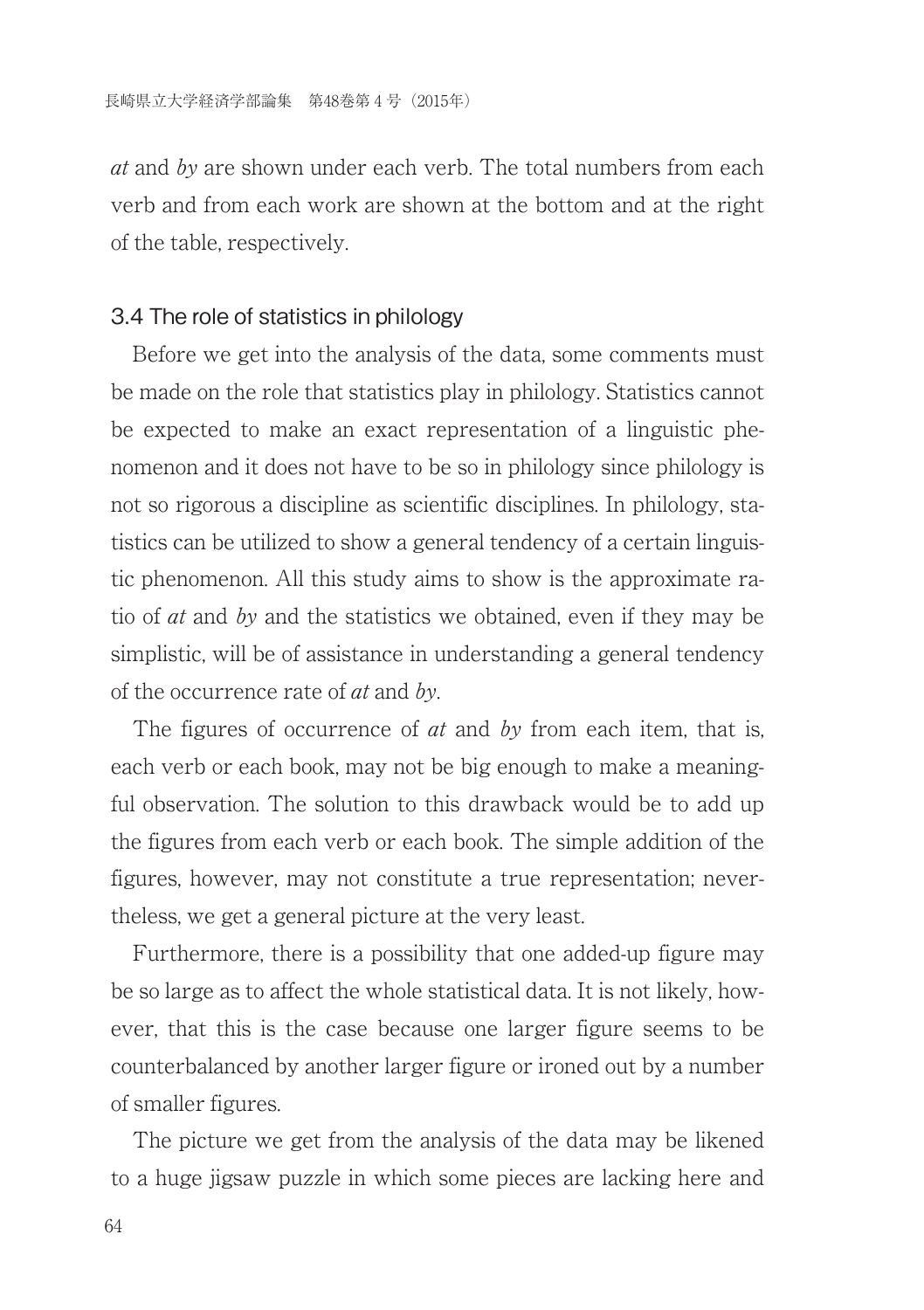at and by are shown under each verb. The total numbers from each verb and from each work are shown at the bottom and at the right of the table, respectively.

#### 3.4 The role of statistics in philology

Before we get into the analysis of the data, some comments must be made on the role that statistics play in philology. Statistics cannot be expected to make an exact representation of a linguistic phenomenon and it does not have to be so in philology since philology is not so rigorous a discipline as scientific disciplines. In philology, statistics can be utilized to show a general tendency of a certain linguistic phenomenon. All this study aims to show is the approximate ratio of at and by and the statistics we obtained, even if they may be simplistic, will be of assistance in understanding a general tendency of the occurrence rate of at and by.

The figures of occurrence of  $at$  and  $by$  from each item, that is, each verb or each book, may not be big enough to make a meaningful observation. The solution to this drawback would be to add up the figures from each verb or each book. The simple addition of the figures, however, may not constitute a true representation; nevertheless, we get a general picture at the very least.

Furthermore, there is a possibility that one added-up figure may be so large as to affect the whole statistical data. It is not likely, however, that this is the case because one larger figure seems to be counterbalanced by another larger figure or ironed out by a number of smaller figures.

The picture we get from the analysis of the data may be likened to a huge jigsaw puzzle in which some pieces are lacking here and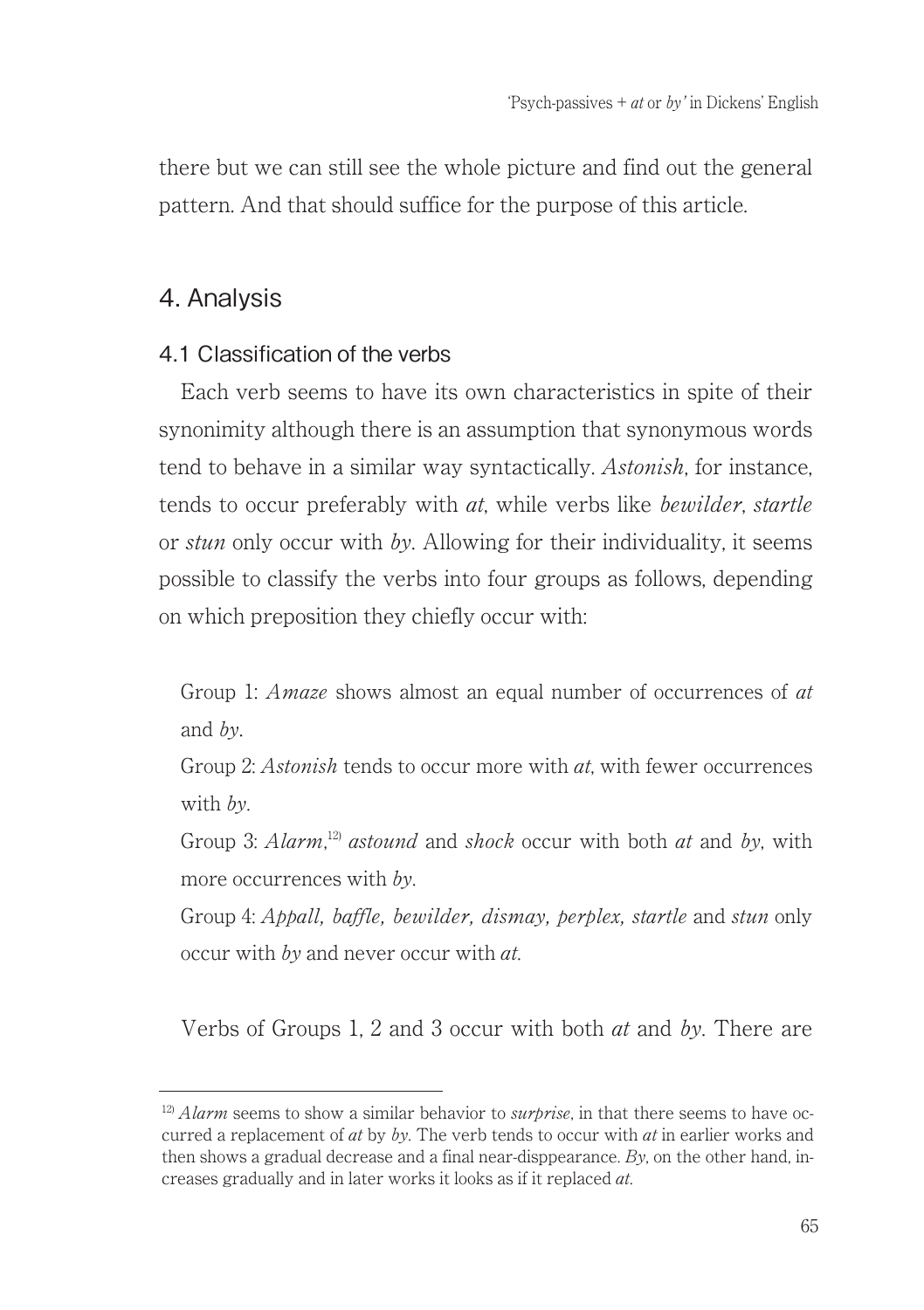there but we can still see the whole picture and find out the general pattern. And that should suffice for the purpose of this article.

## 4. Analysis

### 4.1 Classification of the verbs

Each verb seems to have its own characteristics in spite of their synonimity although there is an assumption that synonymous words tend to behave in a similar way syntactically. Astonish, for instance, tends to occur preferably with *at*, while verbs like *bewilder, startle* or stun only occur with by. Allowing for their individuality, it seems possible to classify the verbs into four groups as follows, depending on which preposition they chiefly occur with:

Group 1: *Amaze* shows almost an equal number of occurrences of *at* and by.

Group 2: Astonish tends to occur more with at, with fewer occurrences with  $hv$ 

Group 3: Alarm,<sup>12)</sup> astound and shock occur with both at and by, with more occurrences with by.

Group 4: Appall, baffle, bewilder, dismay, perplex, startle and stun only occur with by and never occur with at.

Verbs of Groups 1, 2 and 3 occur with both  $at$  and  $by$ . There are

 $12$ ) Alarm seems to show a similar behavior to *surprise* in that there seems to have occurred a replacement of  $at$  by  $by$ . The verb tends to occur with  $at$  in earlier works and then shows a gradual decrease and a final near-disppearance.  $Bv$ , on the other hand, increases gradually and in later works it looks as if it replaced at.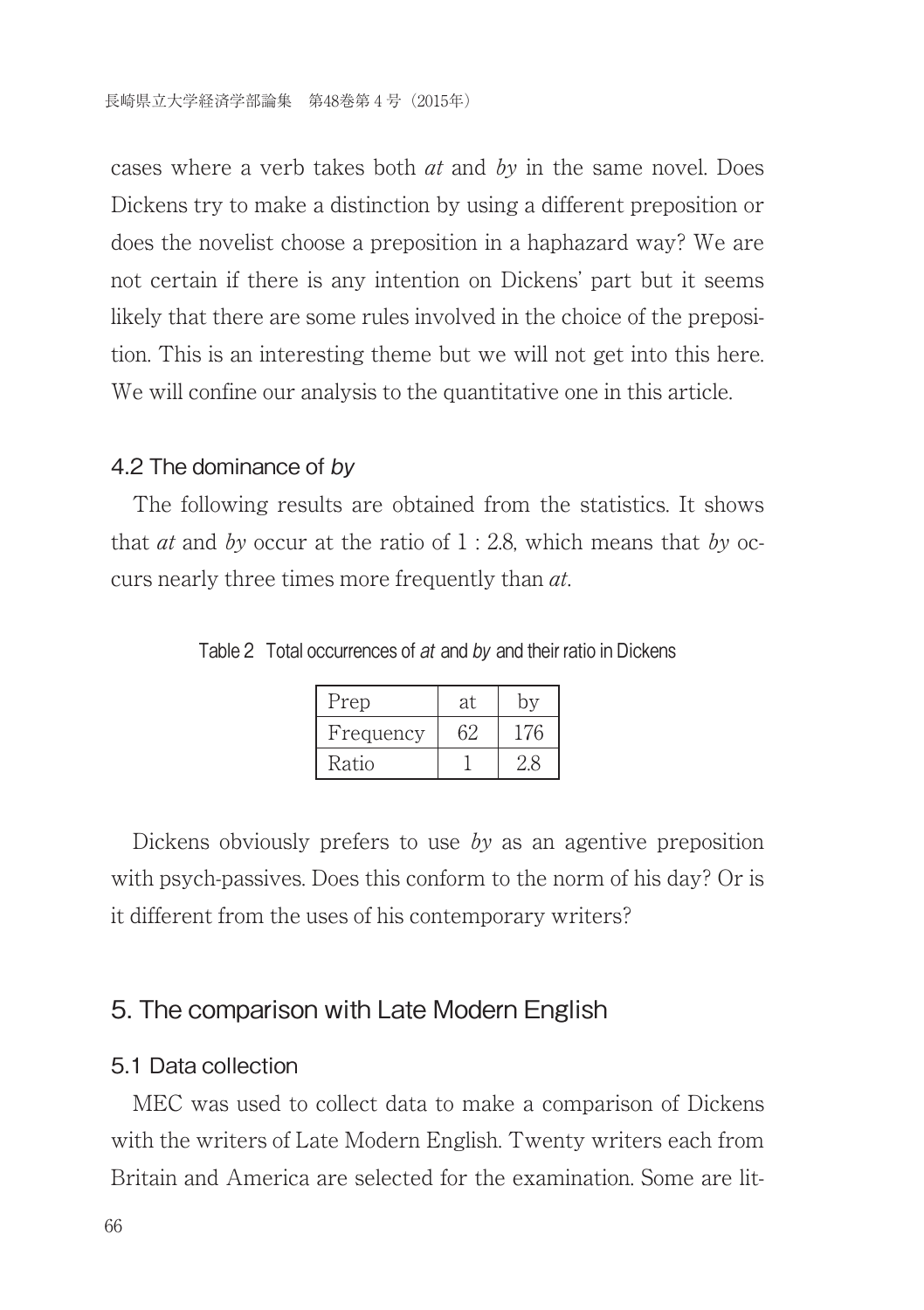cases where a verb takes both at and by in the same novel. Does Dickens try to make a distinction by using a different preposition or does the novelist choose a preposition in a haphazard way? We are not certain if there is any intention on Dickens' part but it seems likely that there are some rules involved in the choice of the preposition. This is an interesting theme but we will not get into this here. We will confine our analysis to the quantitative one in this article.

#### 4.2 The dominance of by

The following results are obtained from the statistics. It shows that *at* and by occur at the ratio of  $1:2.8$ , which means that by occurs nearly three times more frequently than *at*.

Table 2 Total occurrences of at and by and their ratio in Dickens

| Prep      | at. |     |
|-----------|-----|-----|
| Frequency |     | 176 |
| Ratio     |     |     |

Dickens obviously prefers to use by as an agentive preposition with psych-passives. Does this conform to the norm of his day? Or is it different from the uses of his contemporary writers?

### 5. The comparison with Late Modern English

#### 5.1 Data collection

MEC was used to collect data to make a comparison of Dickens with the writers of Late Modern English. Twenty writers each from Britain and America are selected for the examination. Some are lit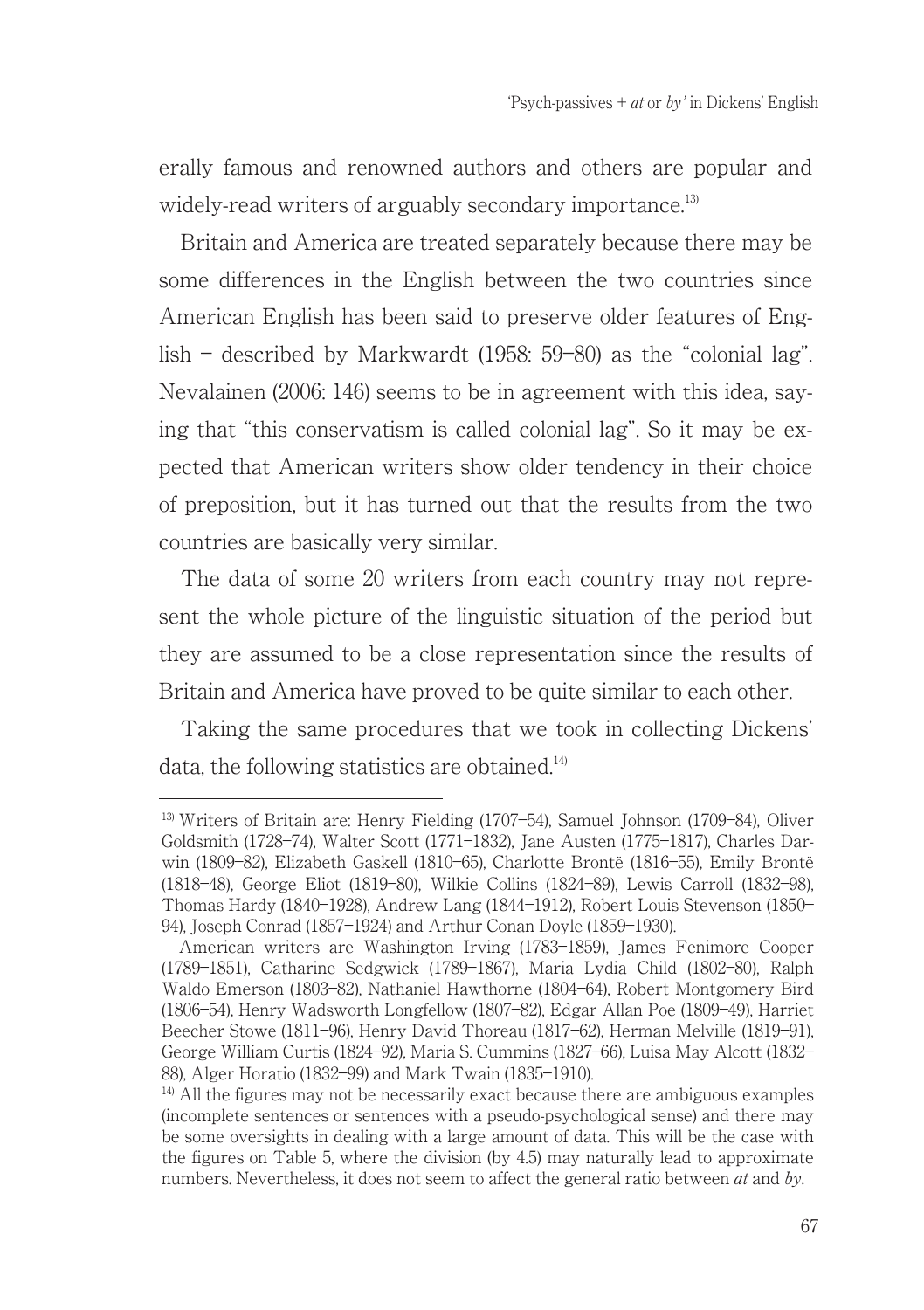erally famous and renowned authors and others are popular and widely-read writers of arguably secondary importance. $^{13}$ 

Britain and America are treated separately because there may be some differences in the English between the two countries since American English has been said to preserve older features of English – described by Markwardt  $(1958: 59-80)$  as the "colonial lag". Nevalainen (2006: 146) seems to be in agreement with this idea, saying that "this conservatism is called colonial lag". So it may be expected that American writers show older tendency in their choice of preposition, but it has turned out that the results from the two countries are basically very similar.

The data of some 20 writers from each country may not represent the whole picture of the linguistic situation of the period but they are assumed to be a close representation since the results of Britain and America have proved to be quite similar to each other.

Taking the same procedures that we took in collecting Dickens' data, the following statistics are obtained.<sup>14)</sup>

<sup>13)</sup> Writers of Britain are: Henry Fielding (1707―54), Samuel Johnson (1709―84), Oliver Goldsmith (1728―74), Walter Scott (1771―1832), Jane Austen (1775―1817), Charles Darwin (1809―82), Elizabeth Gaskell (1810―65), Charlotte Brontë (1816―55), Emily Brontë (1818―48), George Eliot (1819―80), Wilkie Collins (1824―89), Lewis Carroll (1832―98), Thomas Hardy (1840―1928), Andrew Lang (1844―1912), Robert Louis Stevenson (1850― 94), Joseph Conrad (1857―1924) and Arthur Conan Doyle (1859―1930).

American writers are Washington Irving (1783―1859), James Fenimore Cooper (1789―1851), Catharine Sedgwick (1789―1867), Maria Lydia Child (1802―80), Ralph Waldo Emerson (1803―82), Nathaniel Hawthorne (1804―64), Robert Montgomery Bird (1806―54), Henry Wadsworth Longfellow (1807―82), Edgar Allan Poe (1809―49), Harriet Beecher Stowe (1811―96), Henry David Thoreau (1817―62), Herman Melville (1819―91), George William Curtis (1824―92), Maria S. Cummins (1827―66), Luisa May Alcott (1832― 88), Alger Horatio (1832―99) and Mark Twain (1835―1910).

<sup>&</sup>lt;sup>14)</sup> All the figures may not be necessarily exact because there are ambiguous examples (incomplete sentences or sentences with a pseudo-psychological sense) and there may be some oversights in dealing with a large amount of data. This will be the case with the figures on Table 5, where the division (by 4.5) may naturally lead to approximate numbers. Nevertheless, it does not seem to affect the general ratio between *at* and *by*.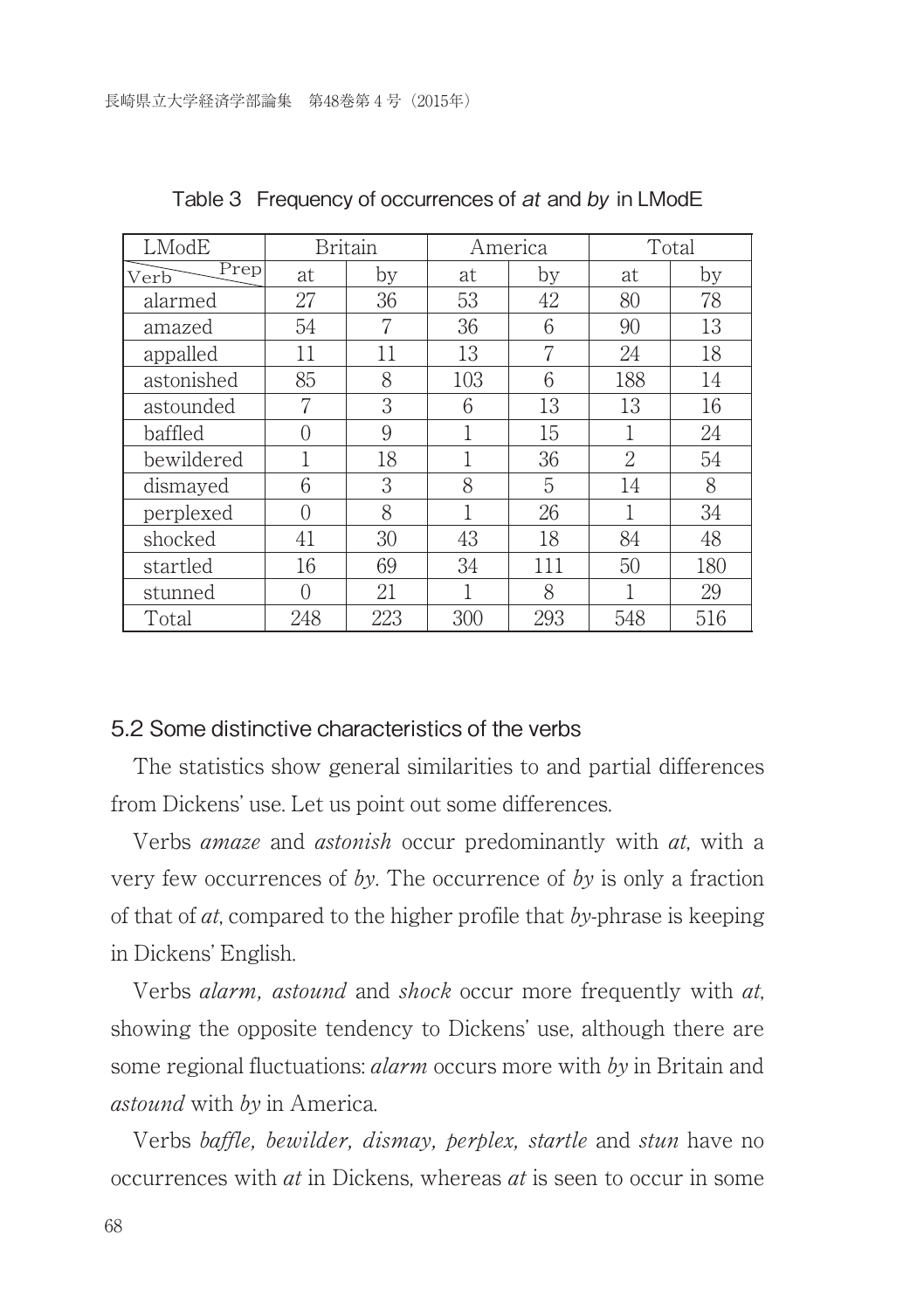| LModE        |          | <b>Britain</b> |     | America | Total         |     |
|--------------|----------|----------------|-----|---------|---------------|-----|
| Prep<br>Verb | at       | by             | at  | by      | at            | by  |
| alarmed      | 27       | 36             | 53  | 42      | 80            | 78  |
| amazed       | 54       |                | 36  | 6       | 90            | 13  |
| appalled     | 11       | 11             | 13  | 7       | 24            | 18  |
| astonished   | 85       | 8              | 103 | 6       | 188           | 14  |
| astounded    | 7        | 3              | 6   | 13      | 13            | 16  |
| baffled      | 0        | 9              |     | 15      |               | 24  |
| bewildered   |          | 18             |     | 36      | $\mathcal{D}$ | 54  |
| dismayed     | 6        | 3              | 8   | 5       | 14            | 8   |
| perplexed    | $\Omega$ | 8              |     | 26      | 1             | 34  |
| shocked      | 41       | 30             | 43  | 18      | 84            | 48  |
| startled     | 16       | 69             | 34  | 111     | 50            | 180 |
| stunned      |          | 21             |     | 8       |               | 29  |
| Total        | 248      | 223            | 300 | 293     | 548           | 516 |

Table 3 Frequency of occurrences of at and by in LModE

#### 5.2 Some distinctive characteristics of the verbs

The statistics show general similarities to and partial differences from Dickens' use. Let us point out some differences.

Verbs amaze and astonish occur predominantly with at, with a very few occurrences of by. The occurrence of by is only a fraction of that of  $at$ , compared to the higher profile that by-phrase is keeping in Dickens' English.

Verbs *alarm, astound* and *shock* occur more frequently with *at*, showing the opposite tendency to Dickens' use, although there are some regional fluctuations: *alarm* occurs more with by in Britain and astound with by in America.

Verbs baffle, bewilder, dismay, perplex, startle and stun have no occurrences with at in Dickens, whereas at is seen to occur in some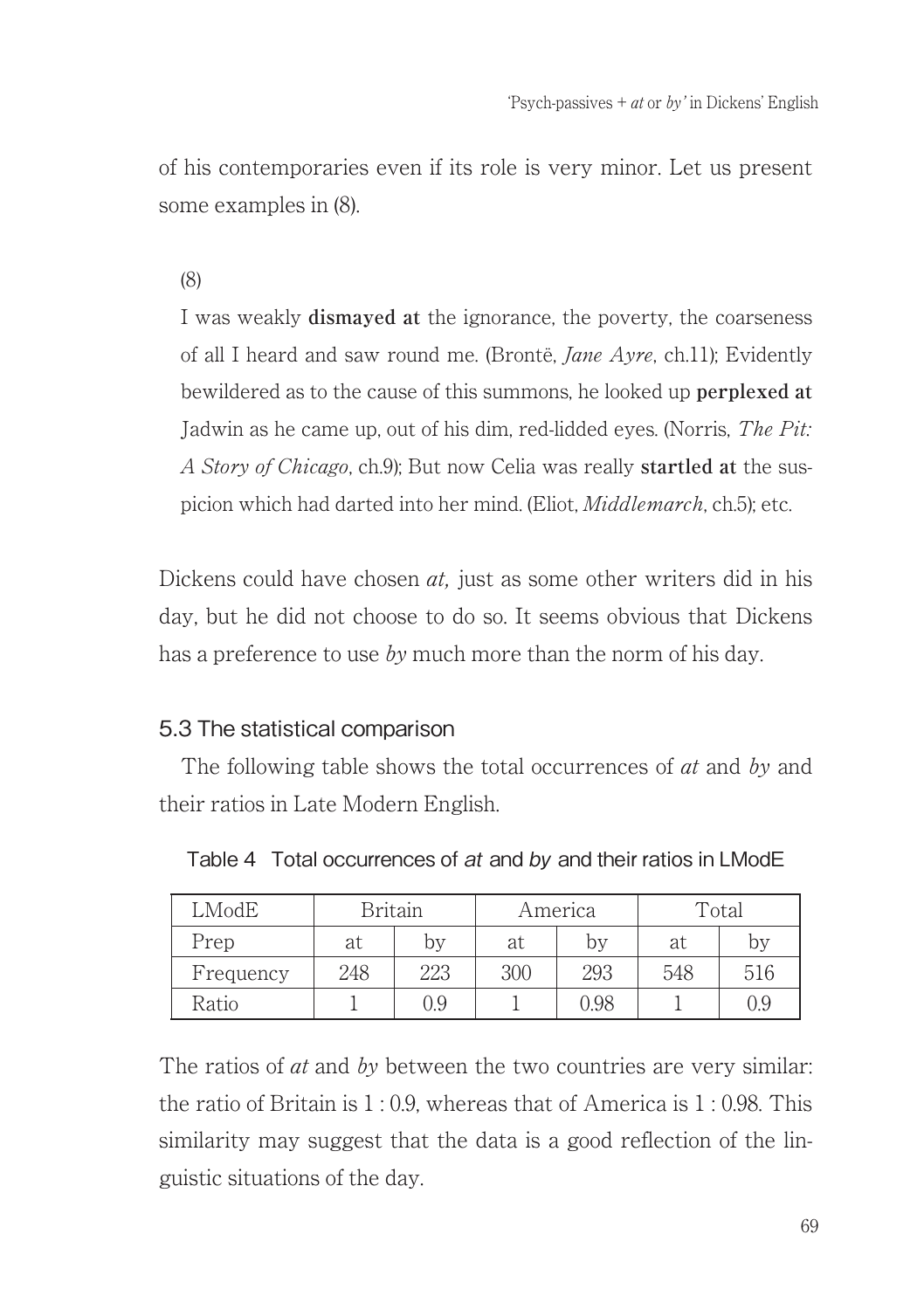of his contemporaries even if its role is very minor. Let us present some examples in (8).

#### (8)

I was weakly **dismayed at** the ignorance, the poverty, the coarseness of all I heard and saw round me. (Brontë, Jane Ayre, ch.11); Evidently bewildered as to the cause of this summons, he looked up **perplexed at** Jadwin as he came up, out of his dim, red-lidded eyes. (Norris, The Pit: A Story of Chicago, ch.9); But now Celia was really **startled at** the suspicion which had darted into her mind. (Eliot, Middlemarch, ch.5); etc.

Dickens could have chosen  $at$ , just as some other writers did in his day, but he did not choose to do so. It seems obvious that Dickens has a preference to use by much more than the norm of his day.

### 5.3 The statistical comparison

The following table shows the total occurrences of *at* and *by* and their ratios in Late Modern English.

| LModE     |     | Britain |     | Total<br>America |     |     |
|-----------|-----|---------|-----|------------------|-----|-----|
| Prep      | at  | by      | at  | bv               | at  | bv  |
| Frequency | 248 | 223     | 300 | 293              | 548 | 516 |
| Ratio     |     | 0.9     |     | 0.98             |     | 0.9 |

Table 4 Total occurrences of at and by and their ratios in LModE

The ratios of  $\alpha t$  and  $\delta y$  between the two countries are very similar: the ratio of Britain is  $1:0.9$  whereas that of America is  $1:0.98$  This similarity may suggest that the data is a good reflection of the linguistic situations of the day.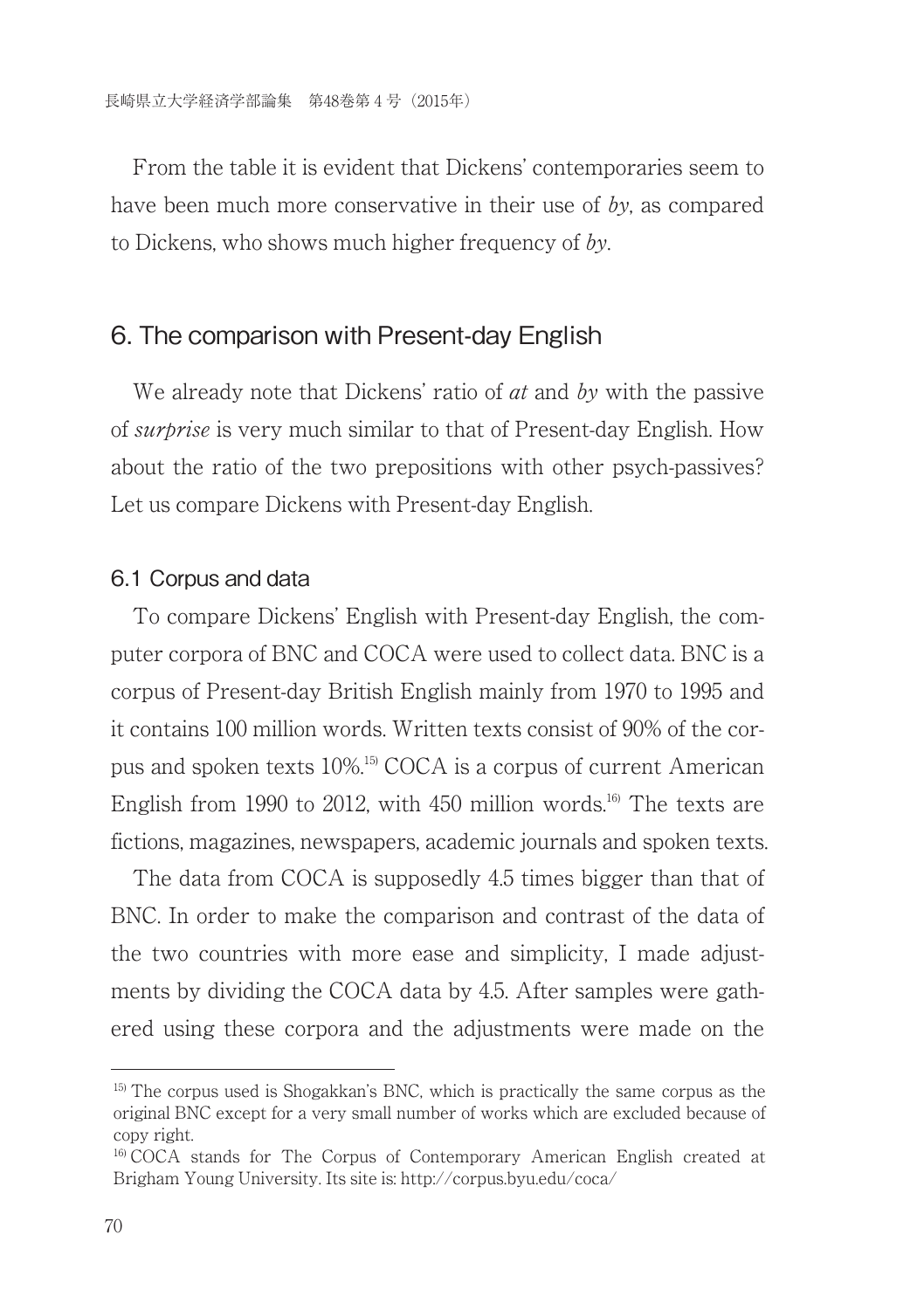From the table it is evident that Dickens' contemporaries seem to have been much more conservative in their use of by, as compared to Dickens, who shows much higher frequency of by.

### 6. The comparison with Present-day English

We already note that Dickens' ratio of *at* and *by* with the passive of *surbrise* is very much similar to that of Present-day English. How about the ratio of the two prepositions with other psych-passives? Let us compare Dickens with Present-day English.

#### 6.1 Corpus and data

To compare Dickens' English with Present-day English, the computer corpora of BNC and COCA were used to collect data. BNC is a corpus of Present-day British English mainly from 1970 to 1995 and it contains 100 million words. Written texts consist of 90% of the corpus and spoken texts 10%.15) COCA is a corpus of current American English from 1990 to 2012, with 450 million words.<sup>16</sup> The texts are fictions, magazines, newspapers, academic journals and spoken texts.

The data from COCA is supposedly 4.5 times bigger than that of BNC. In order to make the comparison and contrast of the data of the two countries with more ease and simplicity, I made adjustments by dividing the COCA data by 4.5. After samples were gathered using these corpora and the adjustments were made on the

<sup>&</sup>lt;sup>15)</sup> The corpus used is Shogakkan's BNC, which is practically the same corpus as the original BNC except for a very small number of works which are excluded because of copy right.

<sup>16)</sup> COCA stands for The Corpus of Contemporary American English created at Brigham Young University. Its site is: http://corpus.byu.edu/coca/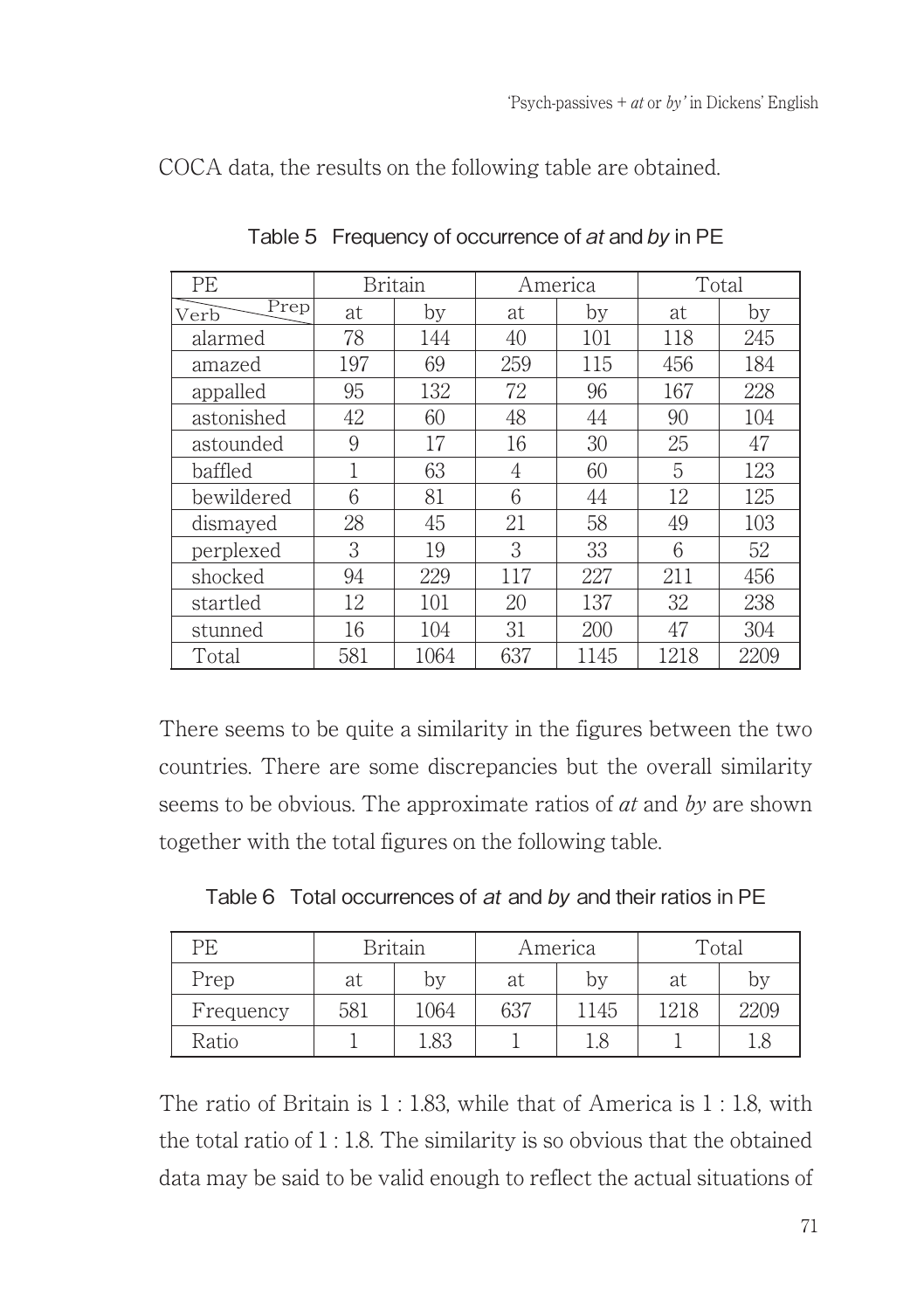| PE           |     | <b>Britain</b> |     | America | Total |      |
|--------------|-----|----------------|-----|---------|-------|------|
| Prep<br>Verb | at  | by             | at  | by      | at    | by   |
| alarmed      | 78  | 144            | 40  | 101     | 118   | 245  |
| amazed       | 197 | 69             | 259 | 115     | 456   | 184  |
| appalled     | 95  | 132            | 72  | 96      | 167   | 228  |
| astonished   | 42  | 60             | 48  | 44      | 90    | 104  |
| astounded    | 9   | 17             | 16  | 30      | 25    | 47   |
| baffled      |     | 63             | 4   | 60      | 5     | 123  |
| bewildered   | 6   | 81             | 6   | 44      | 12    | 125  |
| dismayed     | 28  | 45             | 21  | 58      | 49    | 103  |
| perplexed    | 3   | 19             | 3   | 33      | 6     | 52   |
| shocked      | 94  | 229            | 117 | 227     | 211   | 456  |
| startled     | 12  | 101            | 20  | 137     | 32    | 238  |
| stunned      | 16  | 104            | 31  | 200     | 47    | 304  |
| Total        | 581 | 1064           | 637 | 1145    | 1218  | 2209 |

COCA data, the results on the following table are obtained.

Table 5 Frequency of occurrence of at and by in PE

There seems to be quite a similarity in the figures between the two countries. There are some discrepancies but the overall similarity seems to be obvious. The approximate ratios of *at* and *by* are shown together with the total figures on the following table.

| Table 6 Total occurrences of at and by and their ratios in PE |  |  |
|---------------------------------------------------------------|--|--|
|                                                               |  |  |

| PЕ        |     | Britain |     | America | Total |      |
|-----------|-----|---------|-----|---------|-------|------|
| Prep      | at  | by      | at  | by      | at    | by   |
| Frequency | 581 | 1064    | 637 | 1145    | 1218  | 2209 |
| Ratio     |     | L.83    |     |         |       | 1.8  |

The ratio of Britain is 1 : 1.83, while that of America is 1 : 1.8, with the total ratio of 1 : 1.8. The similarity is so obvious that the obtained data may be said to be valid enough to reflect the actual situations of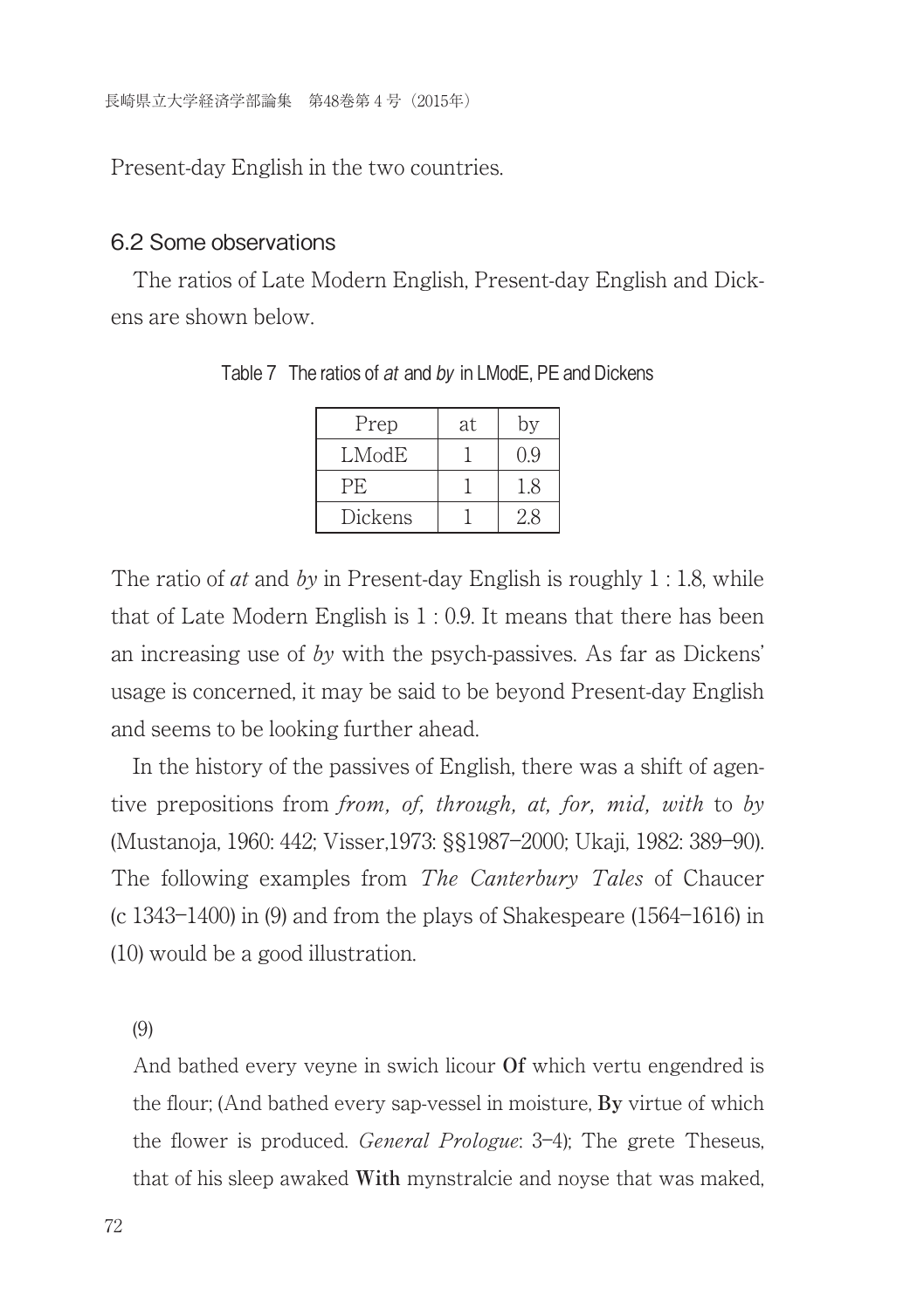Present-day English in the two countries.

#### 6.2 Some observations

The ratios of Late Modern English, Present-day English and Dickens are shown below.

| Prep      | at | bv  |
|-----------|----|-----|
| LModE     |    | ገ ዓ |
| <b>PE</b> |    | 18  |
| Dickens   |    | 28  |

Table 7 The ratios of at and by in LModE, PE and Dickens

The ratio of *at* and by in Present-day English is roughly  $1:1.8$ , while that of Late Modern English is  $1:0.9$ . It means that there has been an increasing use of by with the psych-passives. As far as Dickens' usage is concerned, it may be said to be beyond Present-day English and seems to be looking further ahead.

In the history of the passives of English, there was a shift of agentive prepositions from from, of, through, at, for, mid, with to by (Mustanoja, 1960: 442; Visser,1973: §§1987―2000; Ukaji, 1982: 389―90). The following examples from *The Canterbury Tales* of Chaucer (c 1343―1400) in (9) and from the plays of Shakespeare (1564―1616) in (10) would be a good illustration.

(9)

And bathed every veyne in swich licour **Of** which vertu engendred is the flour; (And bathed every sap-vessel in moisture, **By** virtue of which the flower is produced. General Prologue: 3―4); The grete Theseus, that of his sleep awaked **With** mynstralcie and noyse that was maked,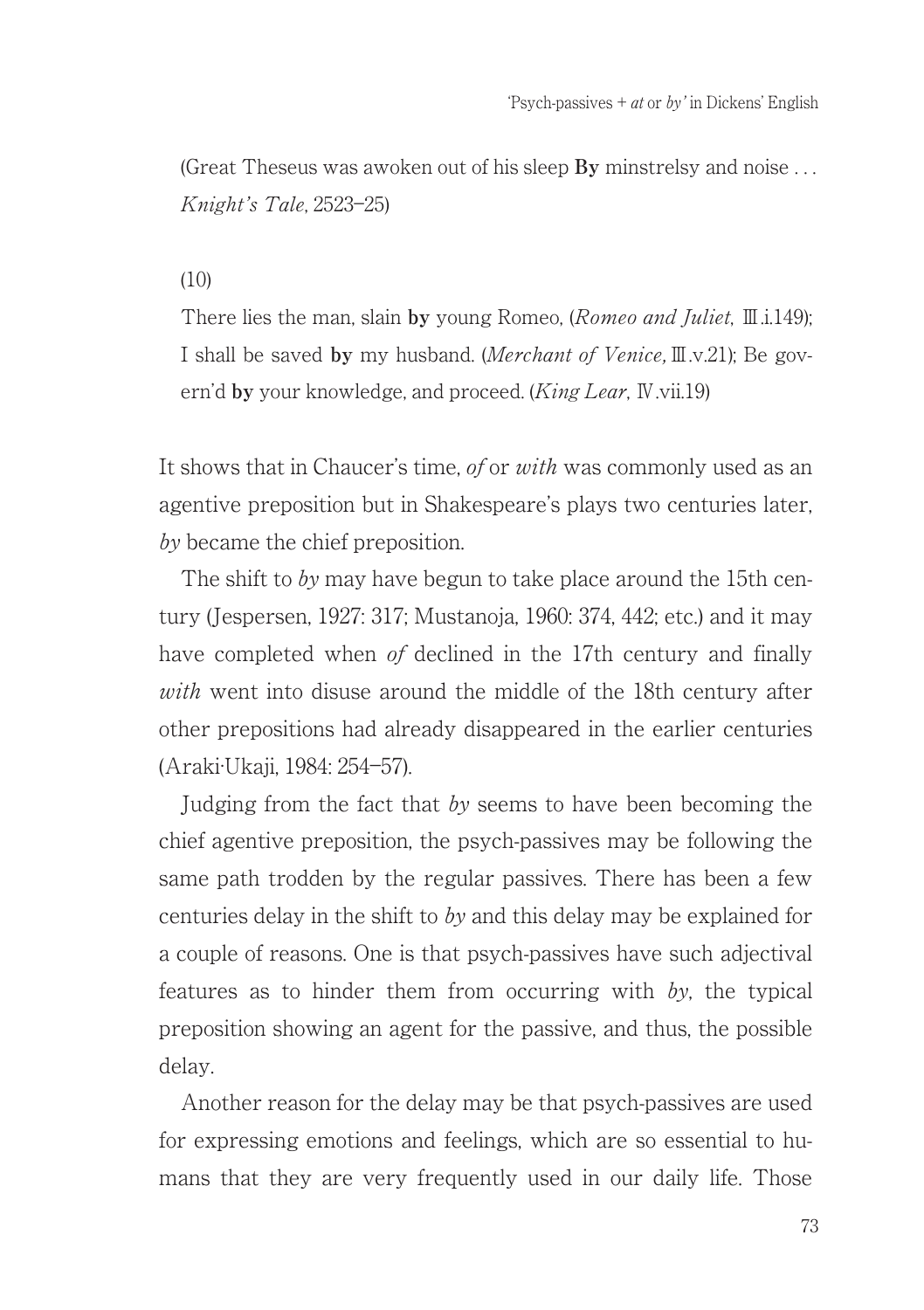(Great Theseus was awoken out of his sleep **By** minstrelsy and noise . . . Knight's Tale, 2523―25)

#### $(10)$

There lies the man, slain **by** young Romeo, (Romeo and Juliet, Ⅲ.i.149); I shall be saved **by** my husband. (Merchant of Venice,Ⅲ.v.21); Be govern'd **by** your knowledge, and proceed. (King Lear, Ⅳ.vii.19)

It shows that in Chaucer's time, *of or with* was commonly used as an agentive preposition but in Shakespeare's plays two centuries later, by became the chief preposition.

The shift to by may have begun to take place around the 15th century (Jespersen, 1927: 317; Mustanoja, 1960: 374, 442; etc.) and it may have completed when of declined in the 17th century and finally with went into disuse around the middle of the 18th century after other prepositions had already disappeared in the earlier centuries (Araki·Ukaji, 1984: 254―57).

Judging from the fact that by seems to have been becoming the chief agentive preposition, the psych-passives may be following the same path trodden by the regular passives. There has been a few centuries delay in the shift to by and this delay may be explained for a couple of reasons. One is that psych-passives have such adjectival features as to hinder them from occurring with by, the typical preposition showing an agent for the passive, and thus, the possible delay.

Another reason for the delay may be that psych-passives are used for expressing emotions and feelings, which are so essential to humans that they are very frequently used in our daily life. Those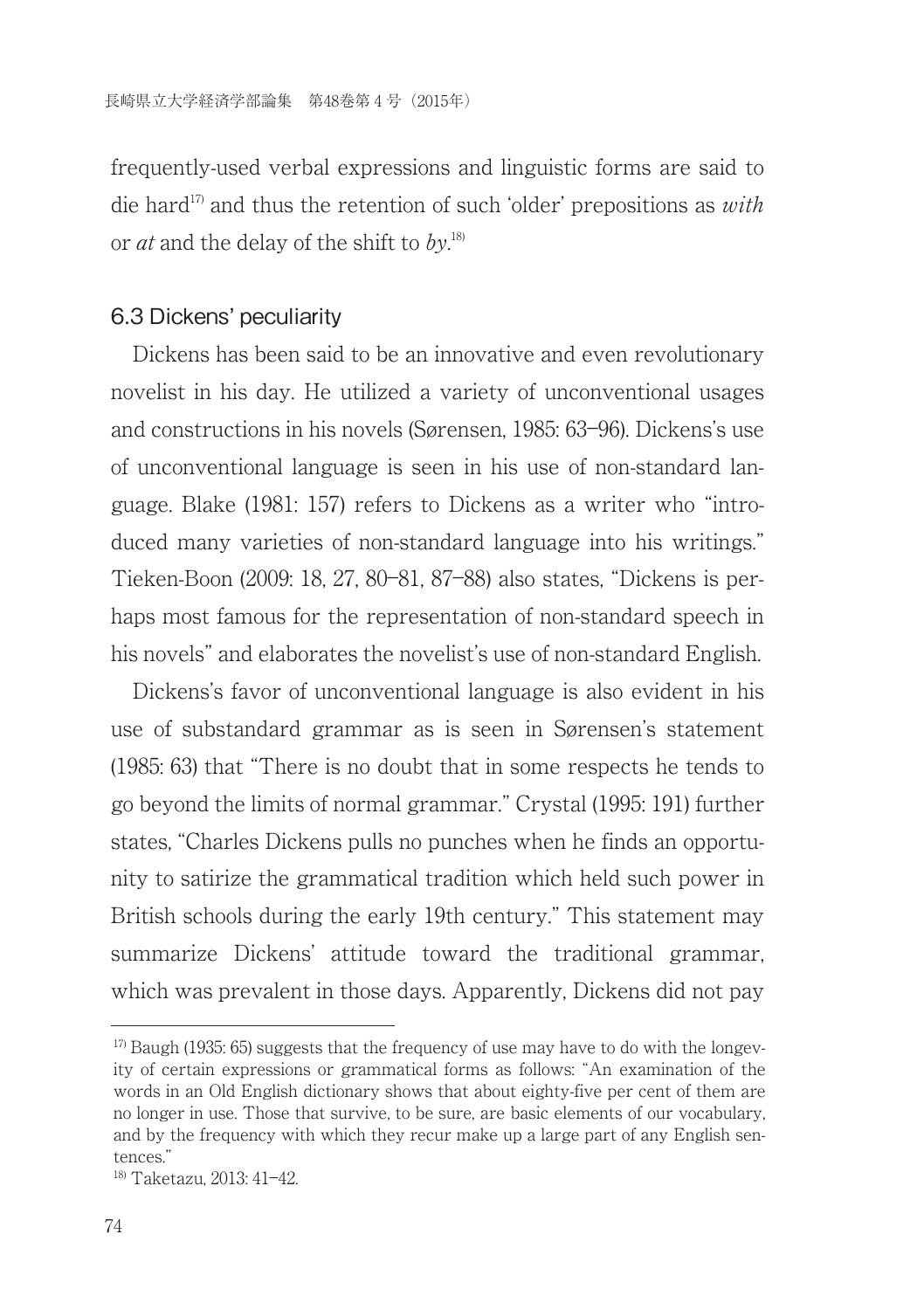frequently-used verbal expressions and linguistic forms are said to die hard<sup>17</sup> and thus the retention of such 'older' prepositions as *with* or *at* and the delay of the shift to  $by$ <sup>18)</sup>.

### 6.3 Dickens' peculiarity

Dickens has been said to be an innovative and even revolutionary novelist in his day. He utilized a variety of unconventional usages and constructions in his novels (Sorensen, 1985: 63―96). Dickens's use of unconventional language is seen in his use of non-standard language. Blake (1981: 157) refers to Dickens as a writer who "introduced many varieties of non-standard language into his writings." Tieken-Boon (2009: 18, 27, 80―81, 87―88) also states, "Dickens is perhaps most famous for the representation of non-standard speech in his novels" and elaborates the novelist's use of non-standard English.

Dickens's favor of unconventional language is also evident in his use of substandard grammar as is seen in Sorensen's statement (1985: 63) that "There is no doubt that in some respects he tends to go beyond the limits of normal grammar." Crystal (1995: 191) further states, "Charles Dickens pulls no punches when he finds an opportunity to satirize the grammatical tradition which held such power in British schools during the early 19th century." This statement may summarize Dickens' attitude toward the traditional grammar, which was prevalent in those days. Apparently, Dickens did not pay

 $17$ <sup>17</sup> Baugh (1935; 65) suggests that the frequency of use may have to do with the longeyity of certain expressions or grammatical forms as follows: "An examination of the words in an Old English dictionary shows that about eighty-five per cent of them are no longer in use. Those that survive, to be sure, are basic elements of our vocabulary, and by the frequency with which they recur make up a large part of any English sentences."

<sup>18)</sup> Taketazu, 2013: 41―42.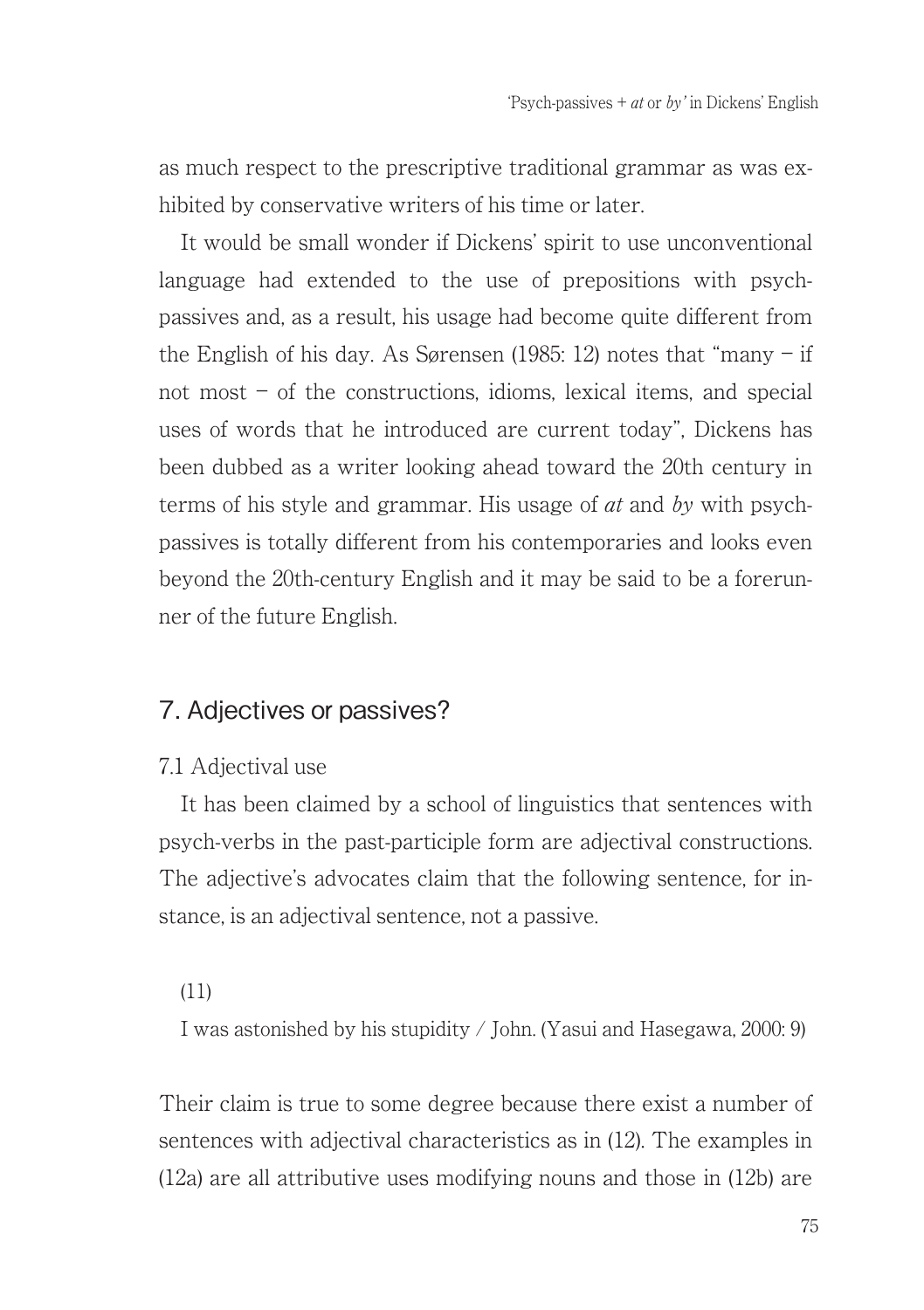as much respect to the prescriptive traditional grammar as was exhibited by conservative writers of his time or later.

It would be small wonder if Dickens' spirit to use unconventional language had extended to the use of prepositions with psychpassives and, as a result, his usage had become quite different from the English of his day. As Sorensen (1985: 12) notes that "many ― if not most ― of the constructions, idioms, lexical items, and special uses of words that he introduced are current today", Dickens has been dubbed as a writer looking ahead toward the 20th century in terms of his style and grammar. His usage of  $at$  and  $bv$  with psychpassives is totally different from his contemporaries and looks even beyond the 20th-century English and it may be said to be a forerunner of the future English.

## 7. Adjectives or passives?

### 7.1 Adjectival use

It has been claimed by a school of linguistics that sentences with psych-verbs in the past-participle form are adjectival constructions. The adjective's advocates claim that the following sentence, for instance, is an adjectival sentence, not a passive.

#### (11)

I was astonished by his stupidity / John. (Yasui and Hasegawa, 2000: 9)

Their claim is true to some degree because there exist a number of sentences with adjectival characteristics as in (12). The examples in (12a) are all attributive uses modifying nouns and those in (12b) are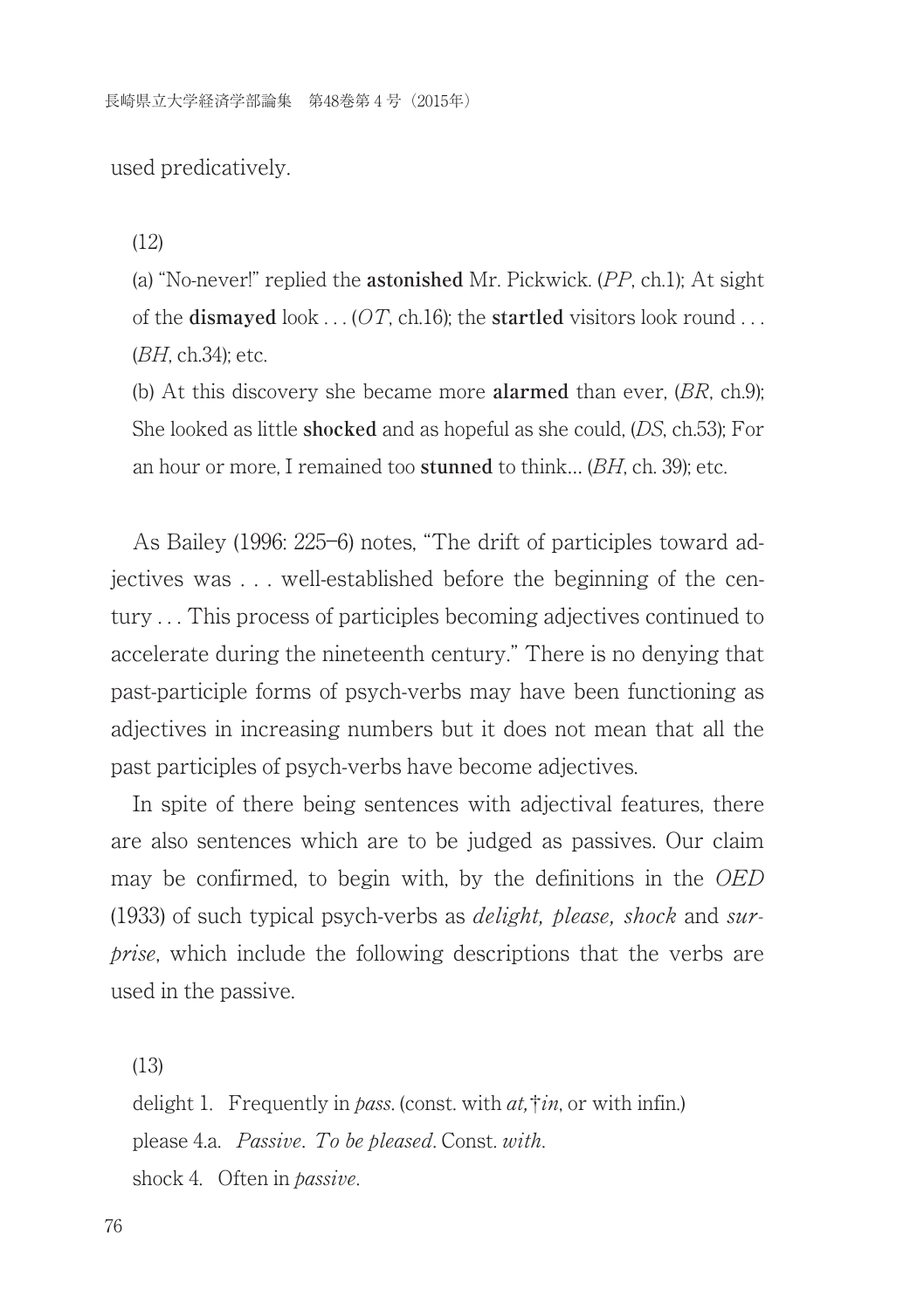used predicatively.

(12)

(a) "No-never!" replied the **astonished** Mr. Pickwick. (PP, ch.1); At sight of the **dismayed** look . . . (OT, ch.16); the **startled** visitors look round . . . (BH, ch.34); etc.

(b) At this discovery she became more **alarmed** than ever, (BR, ch.9); She looked as little **shocked** and as hopeful as she could, (DS, ch.53); For an hour or more, I remained too **stunned** to think… (BH, ch. 39); etc.

As Bailey (1996: 225―6) notes, "The drift of participles toward adjectives was . . . well-established before the beginning of the century . . . This process of participles becoming adjectives continued to accelerate during the nineteenth century." There is no denying that past-participle forms of psych-verbs may have been functioning as adjectives in increasing numbers but it does not mean that all the past participles of psych-verbs have become adjectives.

In spite of there being sentences with adjectival features, there are also sentences which are to be judged as passives. Our claim may be confirmed, to begin with, by the definitions in the OED (1933) of such typical psych-verbs as *delight*, *please*, *shock* and *sur*prise, which include the following descriptions that the verbs are used in the passive.

(13)

delight 1. Frequently in pass. (const. with  $at$ ,  $\dagger in$ , or with infin.) please 4.a. Passive. To be pleased. Const. with. shock 4. Often in passive.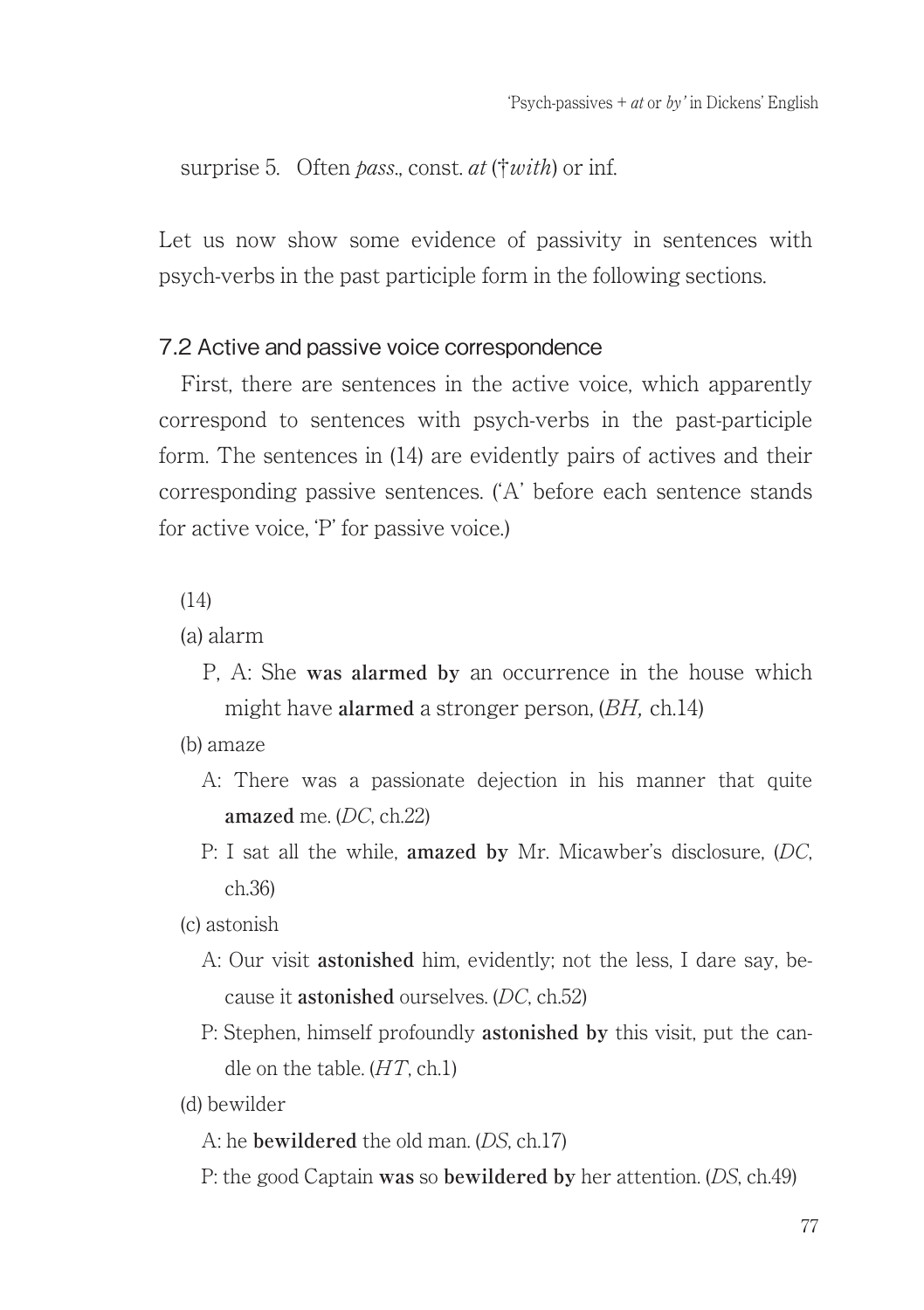surprise 5. Often *pass*, const.  $at$  († $with$ ) or inf.

Let us now show some evidence of passivity in sentences with psych-verbs in the past participle form in the following sections.

### 7.2 Active and passive voice correspondence

First, there are sentences in the active voice, which apparently correspond to sentences with psych-verbs in the past-participle form. The sentences in (14) are evidently pairs of actives and their corresponding passive sentences. (ʻA' before each sentence stands for active voice, ʻP' for passive voice.)

(14)

- (a) alarm
	- P, A: She **was alarmed by** an occurrence in the house which might have **alarmed** a stronger person, (BH, ch.14)

(b) amaze

- A: There was a passionate dejection in his manner that quite **amazed** me. (DC, ch.22)
- P: I sat all the while, **amazed by** Mr. Micawber's disclosure, (DC, ch.36)

(c) astonish

- A: Our visit **astonished** him, evidently; not the less, I dare say, because it **astonished** ourselves. (DC, ch.52)
- P: Stephen, himself profoundly **astonished by** this visit, put the candle on the table.  $(HT, ch.1)$

(d) bewilder

- A: he **bewildered** the old man. (DS, ch.17)
- P: the good Captain **was** so **bewildered by** her attention. (DS, ch.49)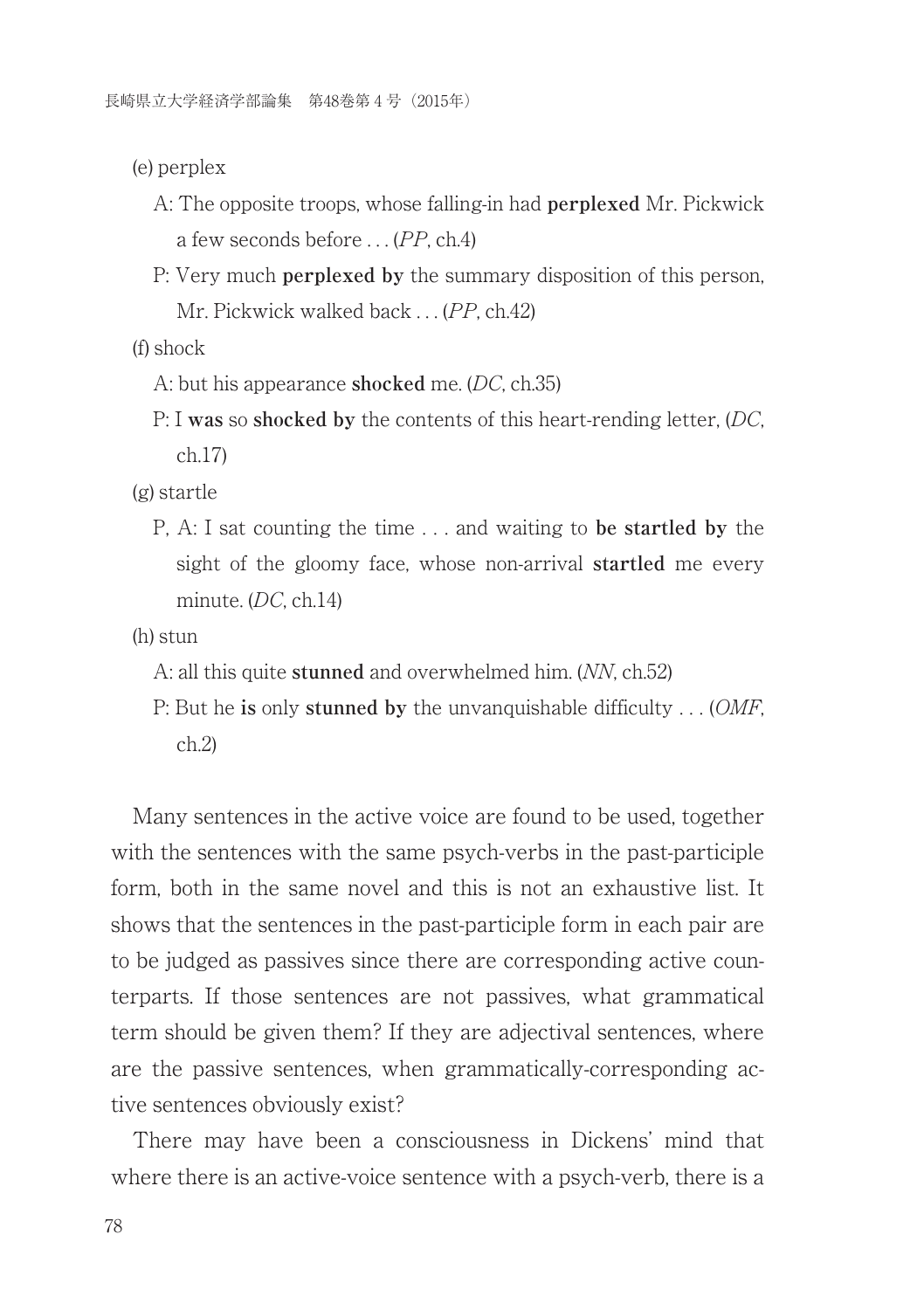(e) perplex

- A: The opposite troops, whose falling-in had **perplexed** Mr. Pickwick a few seconds before . . . (PP, ch.4)
- P: Very much **perplexed by** the summary disposition of this person, Mr. Pickwick walked back . . . (PP, ch.42)

(f) shock

- A: but his appearance **shocked** me. (DC, ch.35)
- P: I **was** so **shocked by** the contents of this heart-rending letter, (DC, ch.17)

(g) startle

P, A: I sat counting the time . . . and waiting to **be startled by** the sight of the gloomy face, whose non-arrival **startled** me every minute. (DC, ch.14)

(h) stun

- A: all this quite **stunned** and overwhelmed him. (NN, ch.52)
- P: But he **is** only **stunned by** the unvanquishable difficulty . . . (OMF, ch.2)

Many sentences in the active voice are found to be used, together with the sentences with the same psych-verbs in the past-participle form, both in the same novel and this is not an exhaustive list. It shows that the sentences in the past-participle form in each pair are to be judged as passives since there are corresponding active counterparts. If those sentences are not passives, what grammatical term should be given them? If they are adjectival sentences, where are the passive sentences, when grammatically-corresponding active sentences obviously exist?

There may have been a consciousness in Dickens' mind that where there is an active-voice sentence with a psych-verb, there is a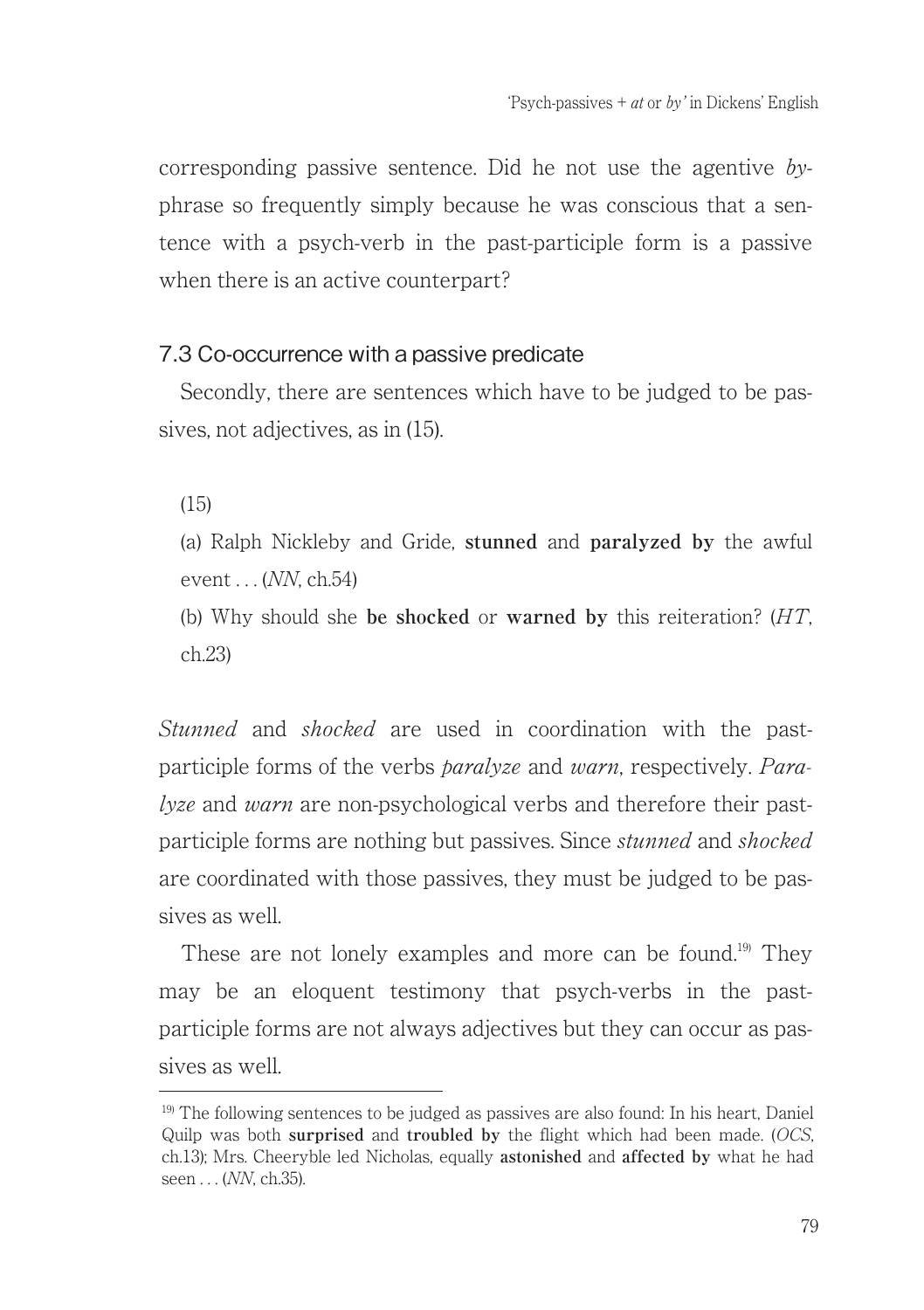corresponding passive sentence. Did he not use the agentive byphrase so frequently simply because he was conscious that a sentence with a psych-verb in the past-participle form is a passive when there is an active counterpart?

### 7.3 Co-occurrence with a passive predicate

Secondly, there are sentences which have to be judged to be passives, not adjectives, as in (15).

(15)

(a) Ralph Nickleby and Gride, **stunned** and **paralyzed by** the awful event  $(NN \ch 54)$ 

(b) Why should she **be shocked** or **warned by** this reiteration? (HT, ch.23)

Stunned and shocked are used in coordination with the pastparticiple forms of the verbs paralyze and warn, respectively. Paralyze and warn are non-psychological verbs and therefore their pastparticiple forms are nothing but passives. Since *stunned* and *shocked* are coordinated with those passives, they must be judged to be passives as well.

These are not lonely examples and more can be found.<sup>19)</sup> They may be an eloquent testimony that psych-verbs in the pastparticiple forms are not always adjectives but they can occur as passives as well.

 $19$ ) The following sentences to be judged as passives are also found: In his heart, Daniel Quilp was both **surprised** and **troubled by** the flight which had been made. (OCS, ch.13); Mrs. Cheeryble led Nicholas, equally **astonished** and **affected by** what he had seen . . . (*NN*, ch.35).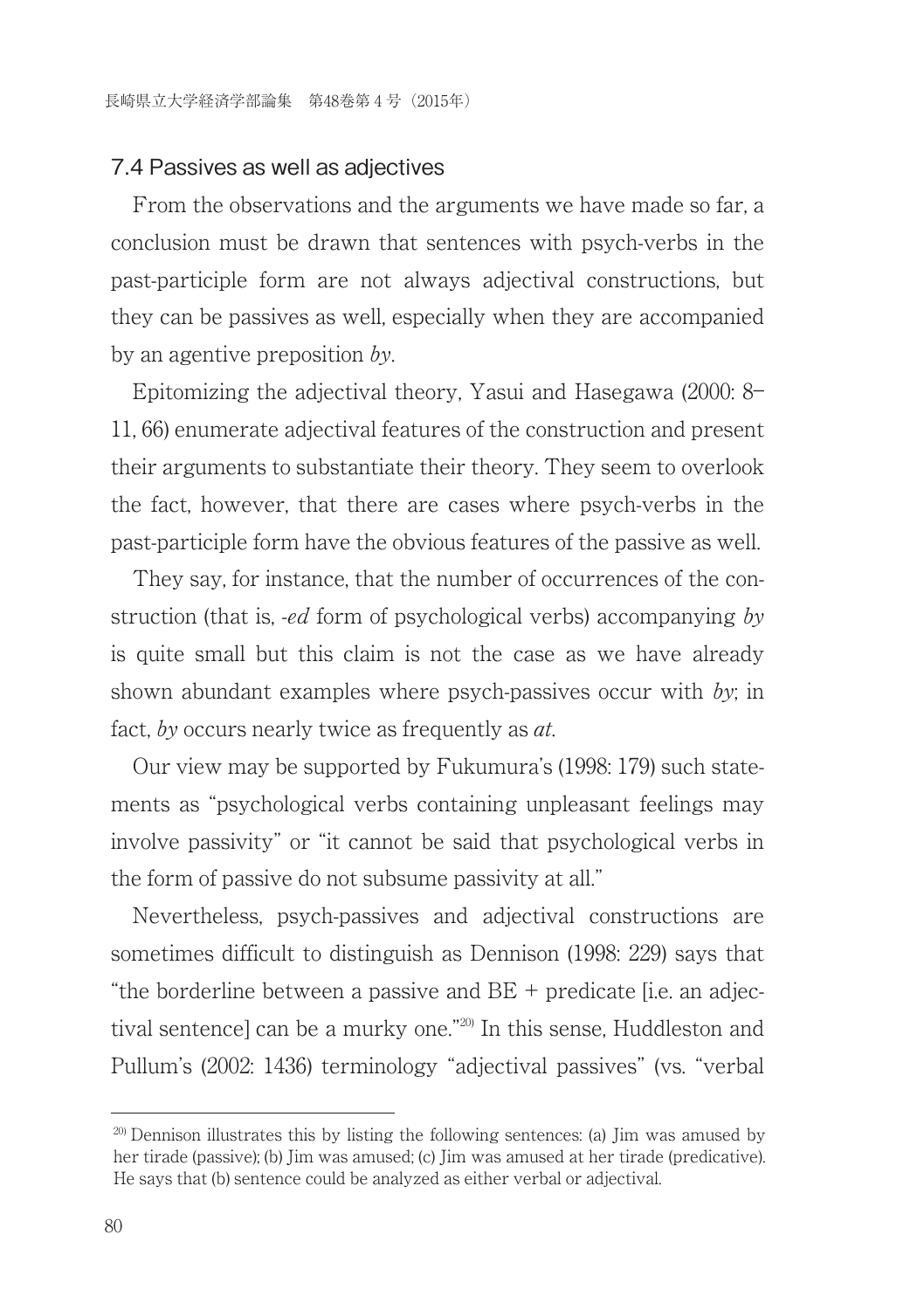#### 7.4 Passives as well as adjectives

From the observations and the arguments we have made so far, a conclusion must be drawn that sentences with psych-verbs in the past-participle form are not always adjectival constructions, but they can be passives as well, especially when they are accompanied by an agentive preposition by.

Epitomizing the adjectival theory, Yasui and Hasegawa (2000: 8― 11, 66) enumerate adjectival features of the construction and present their arguments to substantiate their theory. They seem to overlook the fact, however, that there are cases where psych-verbs in the past-participle form have the obvious features of the passive as well.

They say, for instance, that the number of occurrences of the construction (that is, *-ed* form of psychological verbs) accompanying by is quite small but this claim is not the case as we have already shown abundant examples where psych-passives occur with by; in fact, by occurs nearly twice as frequently as *at*.

Our view may be supported by Fukumura's (1998: 179) such statements as "psychological verbs containing unpleasant feelings may involve passivity" or "it cannot be said that psychological verbs in the form of passive do not subsume passivity at all."

Nevertheless, psych-passives and adjectival constructions are sometimes difficult to distinguish as Dennison (1998: 229) says that "the borderline between a passive and  $BE +$  predicate [i.e. an adjectival sentence] can be a murky one."<sup>20)</sup> In this sense, Huddleston and Pullum's (2002: 1436) terminology "adjectival passives" (vs. "verbal

<sup>&</sup>lt;sup>20)</sup> Dennison illustrates this by listing the following sentences: (a) Jim was amused by her tirade (passive); (b) Jim was amused; (c) Jim was amused at her tirade (predicative). He says that (b) sentence could be analyzed as either verbal or adjectival.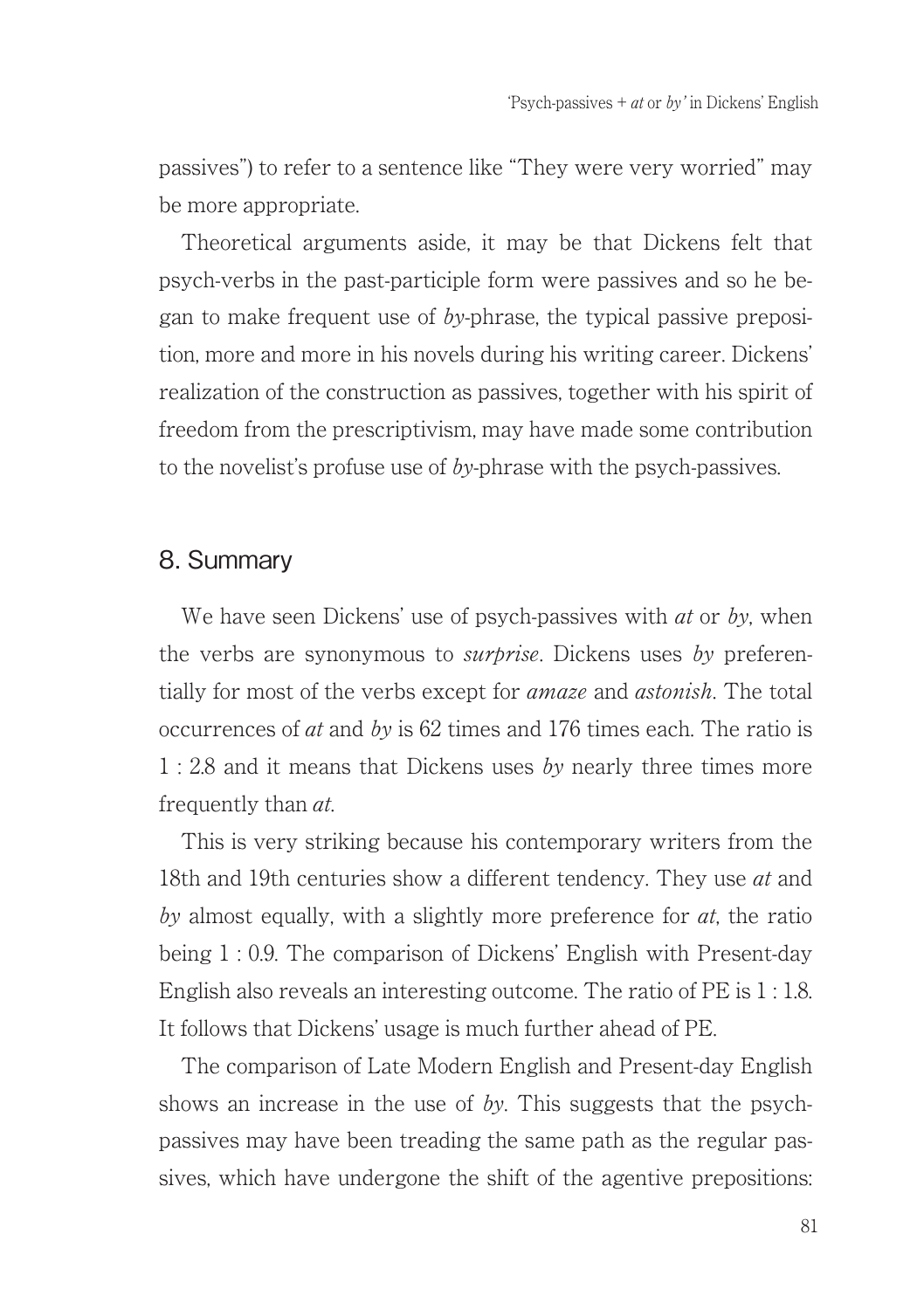passives") to refer to a sentence like "They were very worried" may be more appropriate.

Theoretical arguments aside, it may be that Dickens felt that psych-verbs in the past-participle form were passives and so he began to make frequent use of by-phrase, the typical passive preposition, more and more in his novels during his writing career. Dickens' realization of the construction as passives, together with his spirit of freedom from the prescriptivism, may have made some contribution to the novelist's profuse use of by-phrase with the psych-passives.

#### 8. Summary

We have seen Dickens' use of psych-passives with  $at$  or  $bv$ , when the verbs are synonymous to *surprise*. Dickens uses by preferentially for most of the verbs except for *amaze* and *astonish*. The total occurrences of at and by is 62 times and 176 times each. The ratio is 1 : 2.8 and it means that Dickens uses by nearly three times more frequently than at.

This is very striking because his contemporary writers from the 18th and 19th centuries show a different tendency. They use *at* and by almost equally, with a slightly more preference for  $at$ , the ratio being 1 : 0.9. The comparison of Dickens' English with Present-day English also reveals an interesting outcome. The ratio of PE is 1 : 1.8. It follows that Dickens' usage is much further ahead of PE.

The comparison of Late Modern English and Present-day English shows an increase in the use of by. This suggests that the psychpassives may have been treading the same path as the regular passives, which have undergone the shift of the agentive prepositions: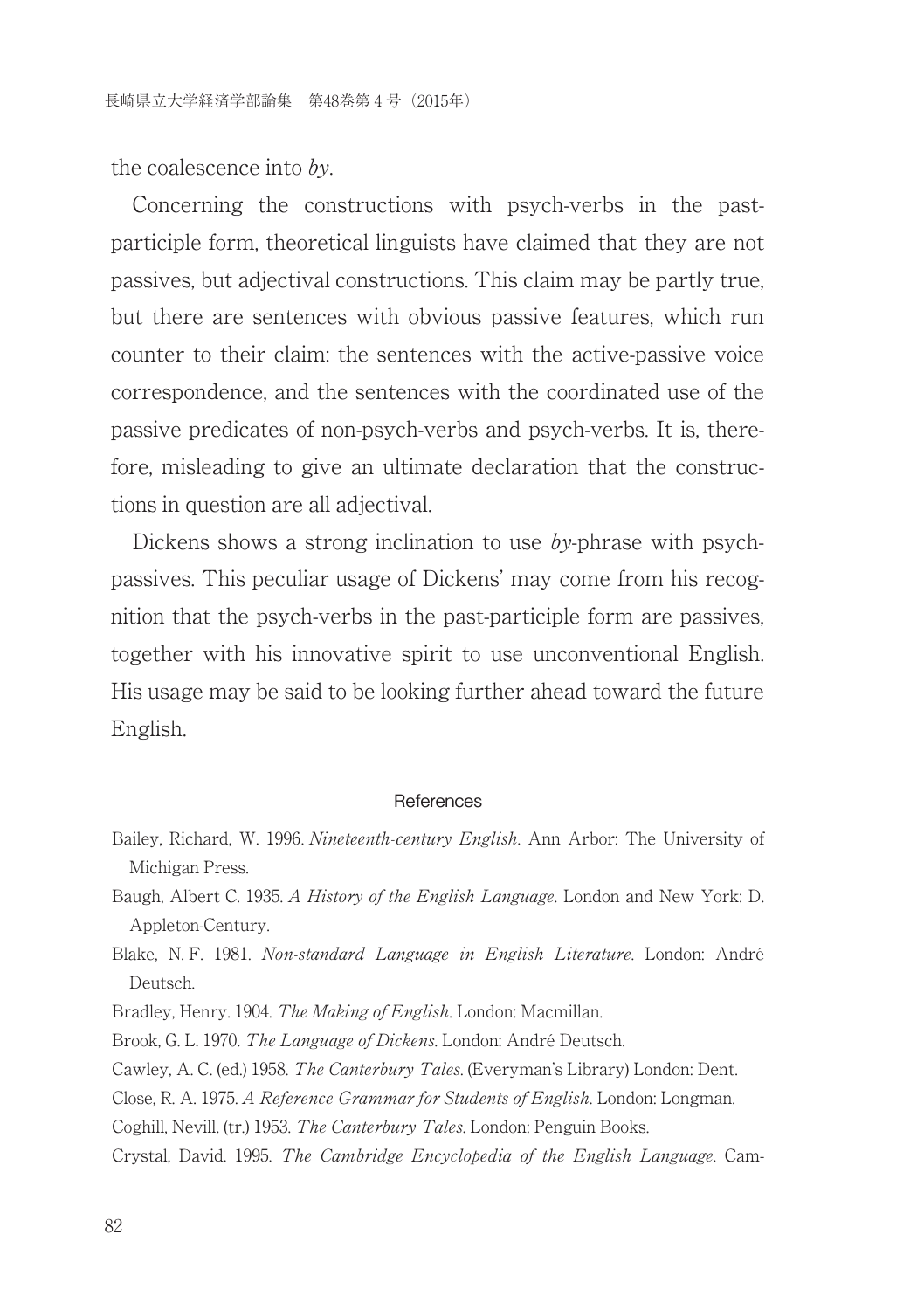the coalescence into by.

Concerning the constructions with psych-verbs in the pastparticiple form, theoretical linguists have claimed that they are not passives, but adjectival constructions. This claim may be partly true, but there are sentences with obvious passive features, which run counter to their claim: the sentences with the active-passive voice correspondence, and the sentences with the coordinated use of the passive predicates of non-psych-verbs and psych-verbs. It is, therefore, misleading to give an ultimate declaration that the constructions in question are all adjectival.

Dickens shows a strong inclination to use by-phrase with psychpassives. This peculiar usage of Dickens' may come from his recognition that the psych-verbs in the past-participle form are passives, together with his innovative spirit to use unconventional English. His usage may be said to be looking further ahead toward the future English.

#### **References**

- Bailey, Richard, W. 1996.Nineteenth-century English. Ann Arbor: The University of Michigan Press.
- Baugh, Albert C. 1935. A History of the English Language. London and New York: D. Appleton-Century.
- Blake, N. F. 1981. Non-standard Language in English Literature. London: André Deutsch.

Bradley, Henry. 1904. The Making of English. London: Macmillan.

Brook, G. L. 1970. The Language of Dickens. London: André Deutsch.

Cawley, A. C. (ed.) 1958. The Canterbury Tales. (Everyman's Library) London: Dent.

Close, R. A. 1975. A Reference Grammar for Students of English. London: Longman.

Coghill, Nevill. (tr.) 1953. The Canterbury Tales. London: Penguin Books.

Crystal, David. 1995. The Cambridge Encyclopedia of the English Language. Cam-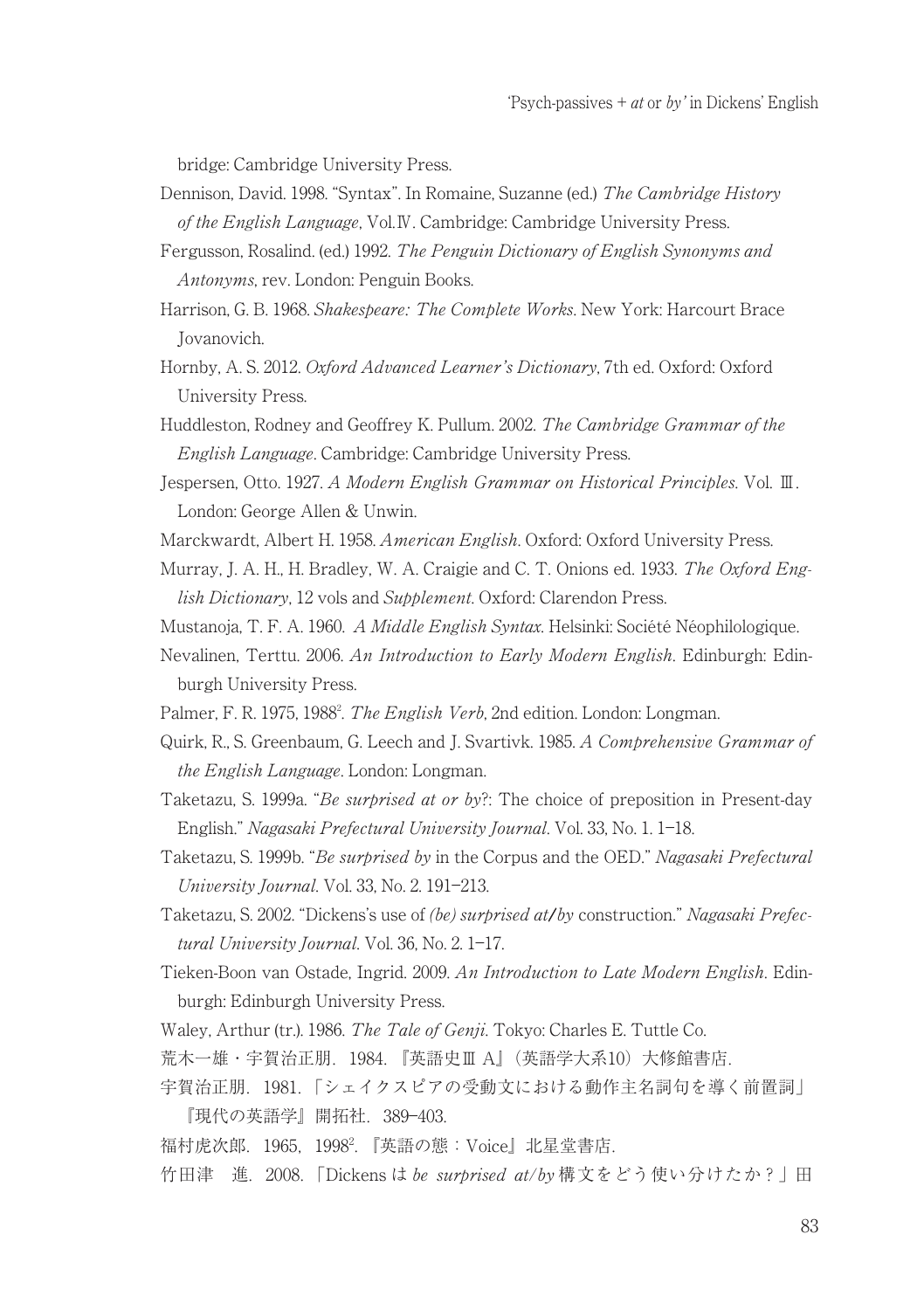bridge: Cambridge University Press.

- Dennison, David. 1998. "Syntax". In Romaine, Suzanne (ed.) The Cambridge History of the English Language, Vol.Ⅳ. Cambridge: Cambridge University Press.
- Fergusson, Rosalind. (ed.) 1992. The Penguin Dictionary of English Synonyms and Antonyms, rev. London: Penguin Books.
- Harrison, G. B. 1968. Shakespeare: The Complete Works. New York: Harcourt Brace Jovanovich.
- Hornby, A. S. 2012. Oxford Advanced Learner's Dictionary, 7th ed. Oxford: Oxford University Press.
- Huddleston, Rodney and Geoffrey K. Pullum. 2002. The Cambridge Grammar of the English Language. Cambridge: Cambridge University Press.
- Jespersen, Otto. 1927. A Modern English Grammar on Historical Principles. Vol. Ⅲ. London: George Allen & Unwin.
- Marckwardt, Albert H. 1958. American English. Oxford: Oxford University Press.
- Murray, J. A. H., H. Bradley, W. A. Craigie and C. T. Onions ed. 1933. The Oxford English Dictionary, 12 vols and Supplement. Oxford: Clarendon Press.
- Mustanoja, T. F. A. 1960. A Middle English Syntax. Helsinki: Société Néophilologique.
- Nevalinen, Terttu. 2006. An Introduction to Early Modern English. Edinburgh: Edinburgh University Press.
- Palmer, F. R. 1975, 1988<sup>2</sup>. *The English Verb*, 2nd edition. London: Longman.
- Quirk, R., S. Greenbaum, G. Leech and J. Svartivk. 1985. A Comprehensive Grammar of the English Language. London: Longman.
- Taketazu, S. 1999a. "Be surprised at or by?: The choice of preposition in Present-day English." Nagasaki Prefectural University Journal. Vol. 33, No. 1. 1―18.
- Taketazu, S. 1999b. "Be surprised by in the Corpus and the OED." Nagasaki Prefectural University Journal. Vol. 33, No. 2. 191―213.
- Taketazu, S. 2002. "Dickens's use of (be) surprised at/by construction." Nagasaki Prefectural University Journal. Vol. 36, No. 2. 1―17.
- Tieken-Boon van Ostade, Ingrid. 2009. An Introduction to Late Modern English. Edinburgh: Edinburgh University Press.
- Waley, Arthur (tr.). 1986. The Tale of Genji. Tokyo: Charles E. Tuttle Co.
- 荒木一雄・宇賀治正朋.1984.『英語史Ⅲ A』(英語学大系10)大修館書店.
- 宇賀治正朋.1981.「シェイクスピアの受動文における動作主名詞句を導く前置詞」 『現代の英語学』開拓社.389―403.
- 福村虎次郎.1965,1998<sup>2</sup>. 『英語の態:Voice』北星堂書店.
- 竹田津 進. 2008. 「Dickens は be surprised at/by 構文をどう使い分けたか?」田